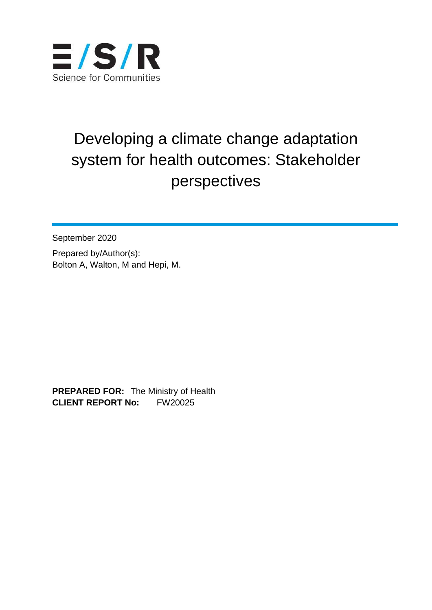

## Developing a climate change adaptation system for health outcomes: Stakeholder perspectives

September 2020 Prepared by/Author(s): Bolton A, Walton, M and Hepi, M.

**PREPARED FOR:** The Ministry of Health **CLIENT REPORT No:** FW20025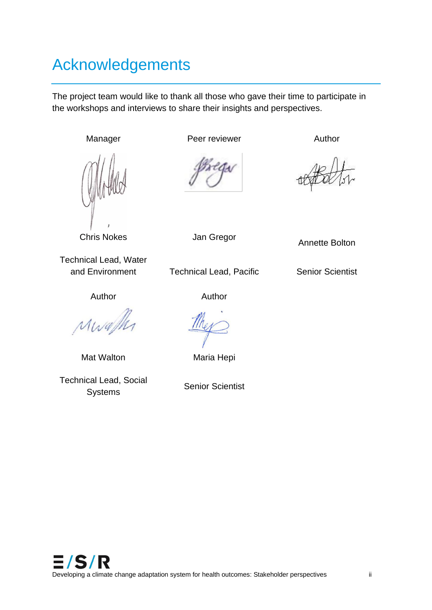## Acknowledgements

The project team would like to thank all those who gave their time to participate in the workshops and interviews to share their insights and perspectives.



Manager Peer reviewer Author

Chris Nokes **Jan Gregor** Annette Bolton

Technical Lead, Water

and Environment Technical Lead, Pacific Senior Scientist

Author Author

MWa

Mat Walton Maria Hepi

Technical Lead, Social Systems Senior Scientist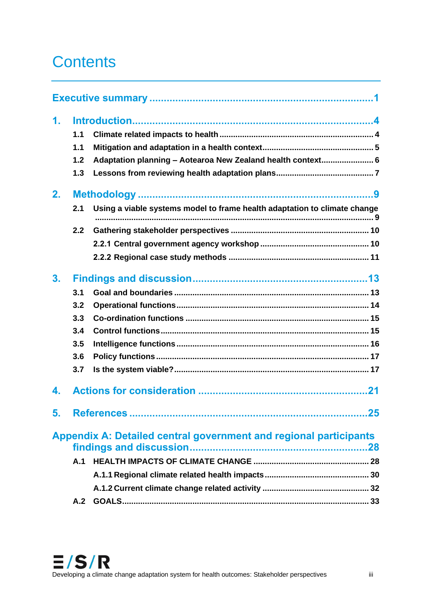## **Contents**

| 1.             |     |                                                                           |  |  |  |
|----------------|-----|---------------------------------------------------------------------------|--|--|--|
|                | 1.1 |                                                                           |  |  |  |
|                | 1.1 |                                                                           |  |  |  |
|                | 1.2 | Adaptation planning - Aotearoa New Zealand health context 6               |  |  |  |
|                | 1.3 |                                                                           |  |  |  |
| 2.             |     |                                                                           |  |  |  |
|                | 2.1 | Using a viable systems model to frame health adaptation to climate change |  |  |  |
|                | 2.2 |                                                                           |  |  |  |
|                |     |                                                                           |  |  |  |
|                |     |                                                                           |  |  |  |
| 3 <sub>1</sub> |     |                                                                           |  |  |  |
|                | 3.1 |                                                                           |  |  |  |
|                | 3.2 |                                                                           |  |  |  |
|                | 3.3 |                                                                           |  |  |  |
|                | 3.4 |                                                                           |  |  |  |
|                | 3.5 |                                                                           |  |  |  |
|                | 3.6 |                                                                           |  |  |  |
|                | 3.7 |                                                                           |  |  |  |
| 4.             |     |                                                                           |  |  |  |
| 5.             |     | 25<br><b>References</b>                                                   |  |  |  |
|                |     | <b>Appendix A: Detailed central government and regional participants</b>  |  |  |  |
|                |     |                                                                           |  |  |  |
|                | A.1 |                                                                           |  |  |  |
|                |     |                                                                           |  |  |  |
|                |     |                                                                           |  |  |  |
|                |     |                                                                           |  |  |  |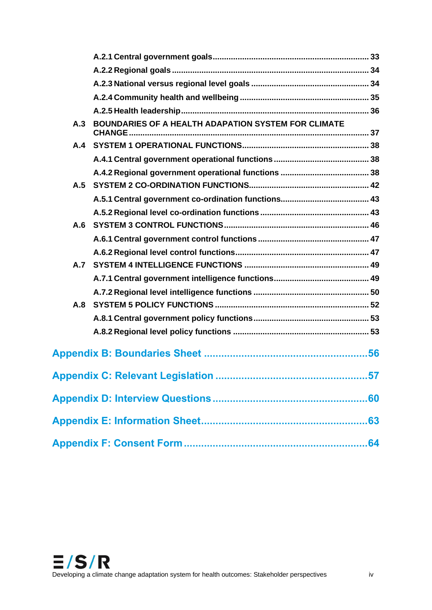| A.3 | BOUNDARIES OF A HEALTH ADAPATION SYSTEM FOR CLIMATE |  |
|-----|-----------------------------------------------------|--|
|     |                                                     |  |
|     |                                                     |  |
|     |                                                     |  |
| A.5 |                                                     |  |
|     |                                                     |  |
|     |                                                     |  |
| A.6 |                                                     |  |
|     |                                                     |  |
|     |                                                     |  |
|     |                                                     |  |
|     |                                                     |  |
|     |                                                     |  |
| A.8 |                                                     |  |
|     |                                                     |  |
|     |                                                     |  |
|     |                                                     |  |
|     | 57<br><b>Appendix C: Relevant Legislation </b>      |  |
|     |                                                     |  |
|     |                                                     |  |
|     |                                                     |  |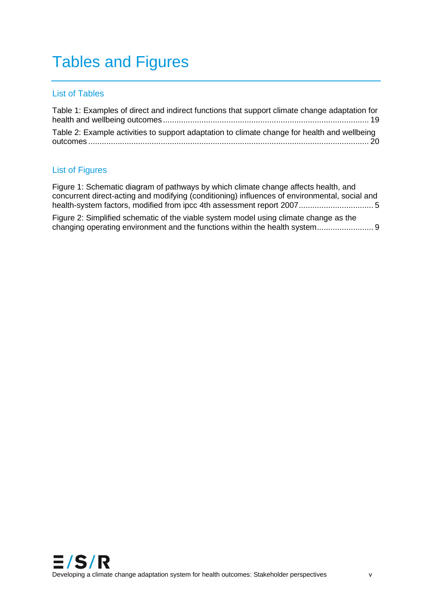## Tables and Figures

#### List of Tables

| Table 1: Examples of direct and indirect functions that support climate change adaptation for |  |
|-----------------------------------------------------------------------------------------------|--|
| Table 2: Example activities to support adaptation to climate change for health and wellbeing  |  |

#### List of Figures

[Figure 1: Schematic diagram of pathways by which climate change affects health, and](#page-9-0)  [concurrent direct-acting and modifying \(conditioning\) influences of environmental, social and](#page-9-0)  [health-system factors, modified from ipcc 4th assessment report 2007.................................](#page-9-0) 5

[Figure 2: Simplified schematic of the viable system model using climate change as the](#page-13-0)  [changing operating environment and the functions within the health system.........................](#page-13-0) 9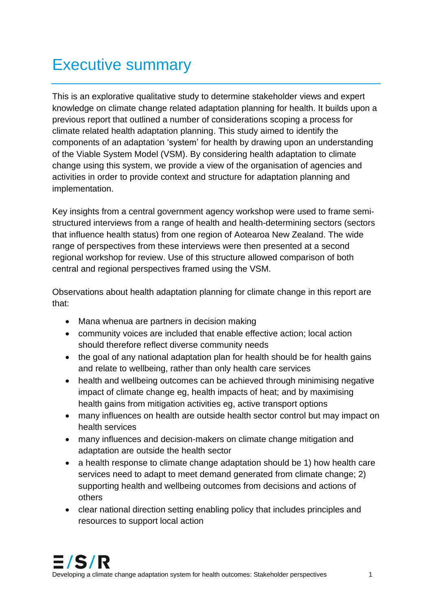## Executive summary

This is an explorative qualitative study to determine stakeholder views and expert knowledge on climate change related adaptation planning for health. It builds upon a previous report that outlined a number of considerations scoping a process for climate related health adaptation planning. This study aimed to identify the components of an adaptation 'system' for health by drawing upon an understanding of the Viable System Model (VSM). By considering health adaptation to climate change using this system, we provide a view of the organisation of agencies and activities in order to provide context and structure for adaptation planning and implementation.

Key insights from a central government agency workshop were used to frame semistructured interviews from a range of health and health-determining sectors (sectors that influence health status) from one region of Aotearoa New Zealand. The wide range of perspectives from these interviews were then presented at a second regional workshop for review. Use of this structure allowed comparison of both central and regional perspectives framed using the VSM.

Observations about health adaptation planning for climate change in this report are that:

- Mana whenua are partners in decision making
- community voices are included that enable effective action; local action should therefore reflect diverse community needs
- the goal of any national adaptation plan for health should be for health gains and relate to wellbeing, rather than only health care services
- health and wellbeing outcomes can be achieved through minimising negative impact of climate change eg, health impacts of heat; and by maximising health gains from mitigation activities eg, active transport options
- many influences on health are outside health sector control but may impact on health services
- many influences and decision-makers on climate change mitigation and adaptation are outside the health sector
- a health response to climate change adaptation should be 1) how health care services need to adapt to meet demand generated from climate change; 2) supporting health and wellbeing outcomes from decisions and actions of others
- clear national direction setting enabling policy that includes principles and resources to support local action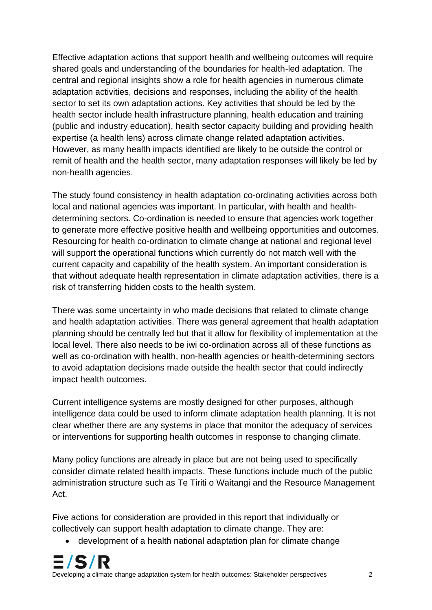Effective adaptation actions that support health and wellbeing outcomes will require shared goals and understanding of the boundaries for health-led adaptation. The central and regional insights show a role for health agencies in numerous climate adaptation activities, decisions and responses, including the ability of the health sector to set its own adaptation actions. Key activities that should be led by the health sector include health infrastructure planning, health education and training (public and industry education), health sector capacity building and providing health expertise (a health lens) across climate change related adaptation activities. However, as many health impacts identified are likely to be outside the control or remit of health and the health sector, many adaptation responses will likely be led by non-health agencies.

The study found consistency in health adaptation co-ordinating activities across both local and national agencies was important. In particular, with health and healthdetermining sectors. Co-ordination is needed to ensure that agencies work together to generate more effective positive health and wellbeing opportunities and outcomes. Resourcing for health co-ordination to climate change at national and regional level will support the operational functions which currently do not match well with the current capacity and capability of the health system. An important consideration is that without adequate health representation in climate adaptation activities, there is a risk of transferring hidden costs to the health system.

There was some uncertainty in who made decisions that related to climate change and health adaptation activities. There was general agreement that health adaptation planning should be centrally led but that it allow for flexibility of implementation at the local level. There also needs to be iwi co-ordination across all of these functions as well as co-ordination with health, non-health agencies or health-determining sectors to avoid adaptation decisions made outside the health sector that could indirectly impact health outcomes.

Current intelligence systems are mostly designed for other purposes, although intelligence data could be used to inform climate adaptation health planning. It is not clear whether there are any systems in place that monitor the adequacy of services or interventions for supporting health outcomes in response to changing climate.

Many policy functions are already in place but are not being used to specifically consider climate related health impacts. These functions include much of the public administration structure such as Te Tiriti o Waitangi and the Resource Management Act.

Five actions for consideration are provided in this report that individually or collectively can support health adaptation to climate change. They are:

• development of a health national adaptation plan for climate change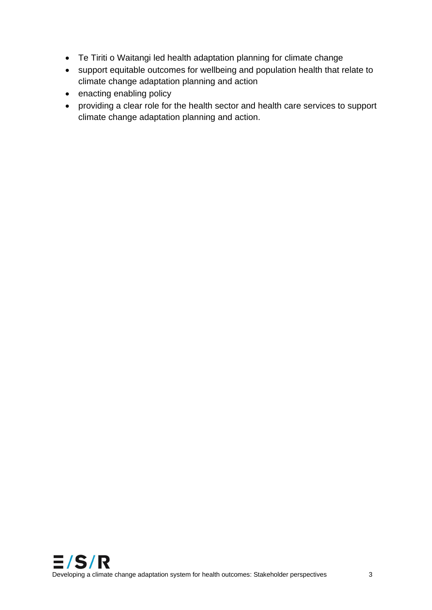- Te Tiriti o Waitangi led health adaptation planning for climate change
- support equitable outcomes for wellbeing and population health that relate to climate change adaptation planning and action
- enacting enabling policy
- providing a clear role for the health sector and health care services to support climate change adaptation planning and action.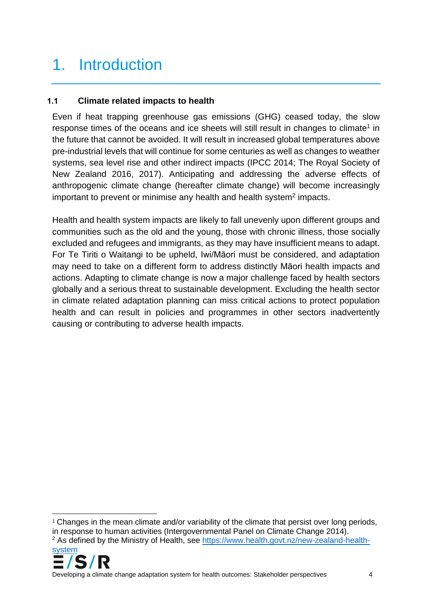## 1. Introduction

## **1.1 Climate related impacts to health**

Even if heat trapping greenhouse gas emissions (GHG) ceased today, the slow response times of the oceans and ice sheets will still result in changes to climate<sup>1</sup> in the future that cannot be avoided. It will result in increased global temperatures above pre-industrial levels that will continue for some centuries as well as changes to weather systems, sea level rise and other indirect impacts (IPCC 2014; The Royal Society of New Zealand 2016, 2017). Anticipating and addressing the adverse effects of anthropogenic climate change (hereafter climate change) will become increasingly important to prevent or minimise any health and health system<sup>2</sup> impacts.

Health and health system impacts are likely to fall unevenly upon different groups and communities such as the old and the young, those with chronic illness, those socially excluded and refugees and immigrants, as they may have insufficient means to adapt. For Te Tiriti o Waitangi to be upheld, Iwi/Māori must be considered, and adaptation may need to take on a different form to address distinctly Māori health impacts and actions. Adapting to climate change is now a major challenge faced by health sectors globally and a serious threat to sustainable development. Excluding the health sector in climate related adaptation planning can miss critical actions to protect population health and can result in policies and programmes in other sectors inadvertently causing or contributing to adverse health impacts.

<sup>&</sup>lt;sup>1</sup> Changes in the mean climate and/or variability of the climate that persist over long periods, in response to human activities (Intergovernmental Panel on Climate Change 2014). <sup>2</sup> As defined by the Ministry of Health, see [https://www.health.govt.nz/new-zealand-health-](https://www.health.govt.nz/new-zealand-health-system)



Developing a climate change adaptation system for health outcomes: Stakeholder perspectives 4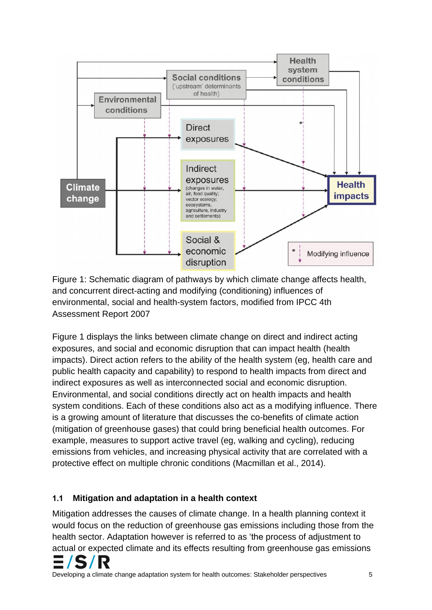

<span id="page-9-0"></span>Figure 1: Schematic diagram of pathways by which climate change affects health, and concurrent direct-acting and modifying (conditioning) influences of environmental, social and health-system factors, modified from IPCC 4th Assessment Report 2007

Figure 1 displays the links between climate change on direct and indirect acting exposures, and social and economic disruption that can impact health (health impacts). Direct action refers to the ability of the health system (eg, health care and public health capacity and capability) to respond to health impacts from direct and indirect exposures as well as interconnected social and economic disruption. Environmental, and social conditions directly act on health impacts and health system conditions. Each of these conditions also act as a modifying influence. There is a growing amount of literature that discusses the co-benefits of climate action (mitigation of greenhouse gases) that could bring beneficial health outcomes. For example, measures to support active travel (eg, walking and cycling), reducing emissions from vehicles, and increasing physical activity that are correlated with a protective effect on multiple chronic conditions (Macmillan et al., 2014).

## **1.1 Mitigation and adaptation in a health context**

Mitigation addresses the causes of climate change. In a health planning context it would focus on the reduction of greenhouse gas emissions including those from the health sector. Adaptation however is referred to as 'the process of adjustment to actual or expected climate and its effects resulting from greenhouse gas emissions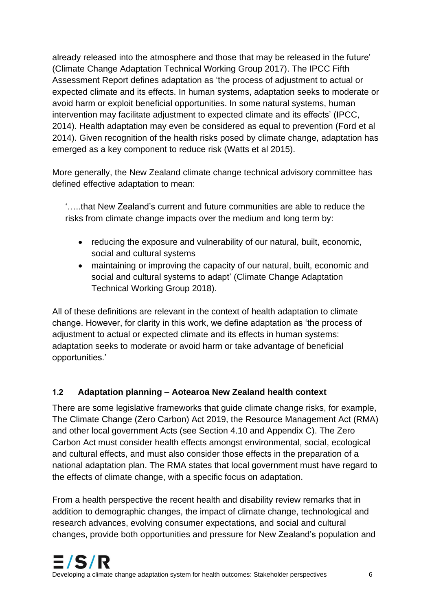already released into the atmosphere and those that may be released in the future' (Climate Change Adaptation Technical Working Group 2017). The IPCC Fifth Assessment Report defines adaptation as 'the process of adjustment to actual or expected climate and its effects. In human systems, adaptation seeks to moderate or avoid harm or exploit beneficial opportunities. In some natural systems, human intervention may facilitate adjustment to expected climate and its effects' (IPCC, 2014). Health adaptation may even be considered as equal to prevention (Ford et al 2014). Given recognition of the health risks posed by climate change, adaptation has emerged as a key component to reduce risk (Watts et al 2015).

More generally, the New Zealand climate change technical advisory committee has defined effective adaptation to mean:

'…..that New Zealand's current and future communities are able to reduce the risks from climate change impacts over the medium and long term by:

- reducing the exposure and vulnerability of our natural, built, economic, social and cultural systems
- maintaining or improving the capacity of our natural, built, economic and social and cultural systems to adapt' (Climate Change Adaptation Technical Working Group 2018).

All of these definitions are relevant in the context of health adaptation to climate change. However, for clarity in this work, we define adaptation as 'the process of adjustment to actual or expected climate and its effects in human systems: adaptation seeks to moderate or avoid harm or take advantage of beneficial opportunities.'

## **1.2 Adaptation planning – Aotearoa New Zealand health context**

There are some legislative frameworks that guide climate change risks, for example, The Climate Change (Zero Carbon) Act 2019, the Resource Management Act (RMA) and other local government Acts (see Section 4.10 and Appendix C). The Zero Carbon Act must consider health effects amongst environmental, social, ecological and cultural effects, and must also consider those effects in the preparation of a national adaptation plan. The RMA states that local government must have regard to the effects of climate change, with a specific focus on adaptation.

From a health perspective the recent health and disability review remarks that in addition to demographic changes, the impact of climate change, technological and research advances, evolving consumer expectations, and social and cultural changes, provide both opportunities and pressure for New Zealand's population and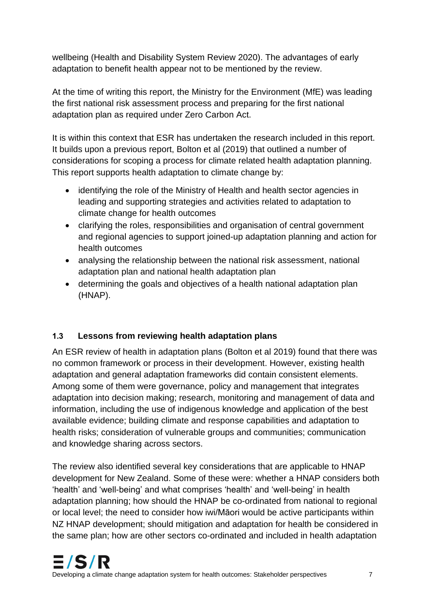wellbeing (Health and Disability System Review 2020). The advantages of early adaptation to benefit health appear not to be mentioned by the review.

At the time of writing this report, the Ministry for the Environment (MfE) was leading the first national risk assessment process and preparing for the first national adaptation plan as required under Zero Carbon Act.

It is within this context that ESR has undertaken the research included in this report. It builds upon a previous report, Bolton et al (2019) that outlined a number of considerations for scoping a process for climate related health adaptation planning. This report supports health adaptation to climate change by:

- identifying the role of the Ministry of Health and health sector agencies in leading and supporting strategies and activities related to adaptation to climate change for health outcomes
- clarifying the roles, responsibilities and organisation of central government and regional agencies to support joined-up adaptation planning and action for health outcomes
- analysing the relationship between the national risk assessment, national adaptation plan and national health adaptation plan
- determining the goals and objectives of a health national adaptation plan (HNAP).

## **1.3 Lessons from reviewing health adaptation plans**

An ESR review of health in adaptation plans (Bolton et al 2019) found that there was no common framework or process in their development. However, existing health adaptation and general adaptation frameworks did contain consistent elements. Among some of them were governance, policy and management that integrates adaptation into decision making; research, monitoring and management of data and information, including the use of indigenous knowledge and application of the best available evidence; building climate and response capabilities and adaptation to health risks; consideration of vulnerable groups and communities; communication and knowledge sharing across sectors.

The review also identified several key considerations that are applicable to HNAP development for New Zealand. Some of these were: whether a HNAP considers both 'health' and 'well-being' and what comprises 'health' and 'well-being' in health adaptation planning; how should the HNAP be co-ordinated from national to regional or local level; the need to consider how iwi/Māori would be active participants within NZ HNAP development; should mitigation and adaptation for health be considered in the same plan; how are other sectors co-ordinated and included in health adaptation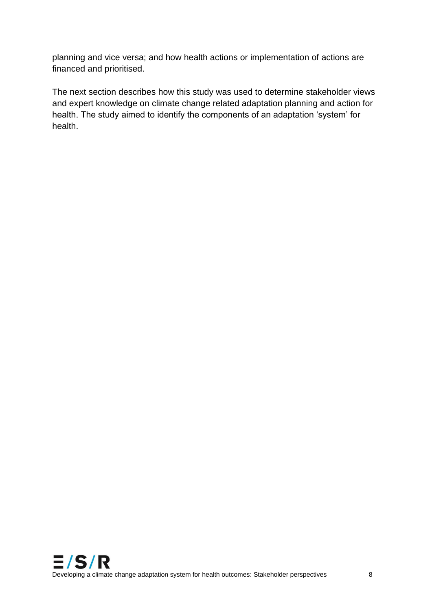planning and vice versa; and how health actions or implementation of actions are financed and prioritised.

The next section describes how this study was used to determine stakeholder views and expert knowledge on climate change related adaptation planning and action for health. The study aimed to identify the components of an adaptation 'system' for health.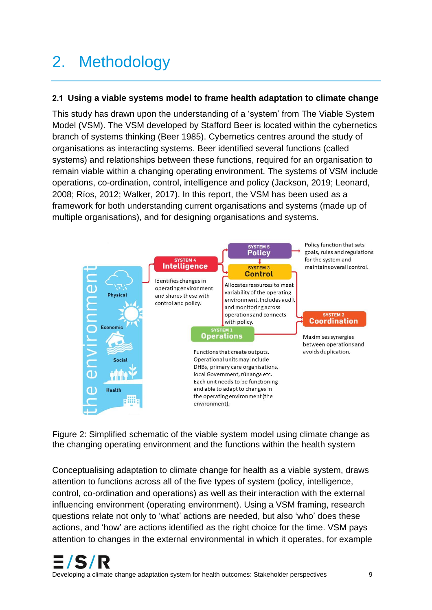# 2. Methodology

#### **2.1 Using a viable systems model to frame health adaptation to climate change**

This study has drawn upon the understanding of a 'system' from The Viable System Model (VSM). The VSM developed by Stafford Beer is located within the cybernetics branch of systems thinking (Beer 1985). Cybernetics centres around the study of organisations as interacting systems. Beer identified several functions (called systems) and relationships between these functions, required for an organisation to remain viable within a changing operating environment. The systems of VSM include operations, co-ordination, control, intelligence and policy (Jackson, 2019; Leonard, 2008; Ríos, 2012; Walker, 2017). In this report, the VSM has been used as a framework for both understanding current organisations and systems (made up of multiple organisations), and for designing organisations and systems.



<span id="page-13-0"></span>Figure 2: Simplified schematic of the viable system model using climate change as the changing operating environment and the functions within the health system

Conceptualising adaptation to climate change for health as a viable system, draws attention to functions across all of the five types of system (policy, intelligence, control, co-ordination and operations) as well as their interaction with the external influencing environment (operating environment). Using a VSM framing, research questions relate not only to 'what' actions are needed, but also 'who' does these actions, and 'how' are actions identified as the right choice for the time. VSM pays attention to changes in the external environmental in which it operates, for example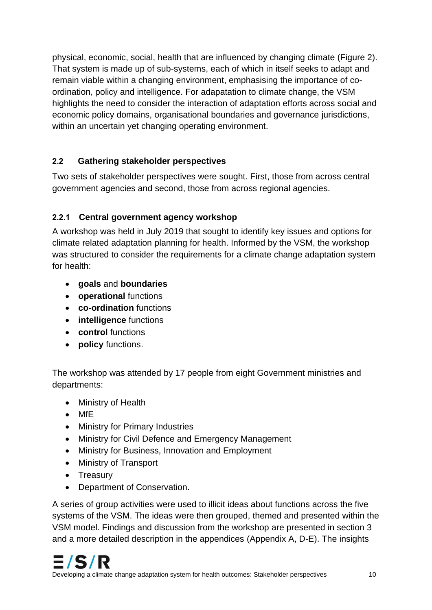physical, economic, social, health that are influenced by changing climate (Figure 2). That system is made up of sub-systems, each of which in itself seeks to adapt and remain viable within a changing environment, emphasising the importance of coordination, policy and intelligence. For adapatation to climate change, the VSM highlights the need to consider the interaction of adaptation efforts across social and economic policy domains, organisational boundaries and governance jurisdictions, within an uncertain yet changing operating environment.

## **2.2 Gathering stakeholder perspectives**

Two sets of stakeholder perspectives were sought. First, those from across central government agencies and second, those from across regional agencies.

## **2.2.1 Central government agency workshop**

A workshop was held in July 2019 that sought to identify key issues and options for climate related adaptation planning for health. Informed by the VSM, the workshop was structured to consider the requirements for a climate change adaptation system for health:

- **goals** and **boundaries**
- **operational** functions
- **co-ordination** functions
- **intelligence** functions
- **control** functions
- **policy** functions.

The workshop was attended by 17 people from eight Government ministries and departments:

- Ministry of Health
- MfE
- Ministry for Primary Industries
- Ministry for Civil Defence and Emergency Management
- Ministry for Business, Innovation and Employment
- Ministry of Transport
- Treasury
- Department of Conservation.

A series of group activities were used to illicit ideas about functions across the five systems of the VSM. The ideas were then grouped, themed and presented within the VSM model. Findings and discussion from the workshop are presented in section 3 and a more detailed description in the appendices (Appendix A, D-E). The insights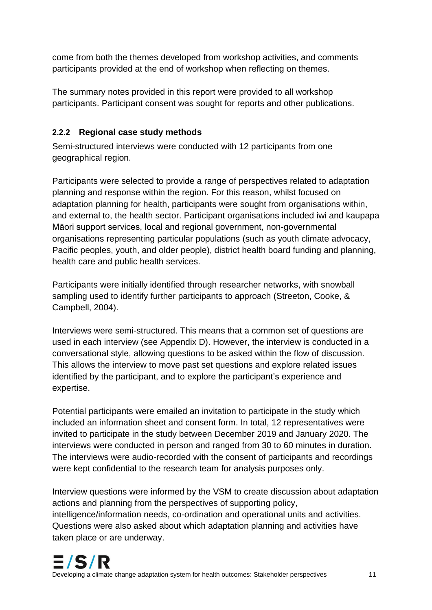come from both the themes developed from workshop activities, and comments participants provided at the end of workshop when reflecting on themes.

The summary notes provided in this report were provided to all workshop participants. Participant consent was sought for reports and other publications.

## **2.2.2 Regional case study methods**

Semi-structured interviews were conducted with 12 participants from one geographical region.

Participants were selected to provide a range of perspectives related to adaptation planning and response within the region. For this reason, whilst focused on adaptation planning for health, participants were sought from organisations within, and external to, the health sector. Participant organisations included iwi and kaupapa Māori support services, local and regional government, non-governmental organisations representing particular populations (such as youth climate advocacy, Pacific peoples, youth, and older people), district health board funding and planning, health care and public health services.

Participants were initially identified through researcher networks, with snowball sampling used to identify further participants to approach (Streeton, Cooke, & Campbell, 2004).

Interviews were semi-structured. This means that a common set of questions are used in each interview (see Appendix D). However, the interview is conducted in a conversational style, allowing questions to be asked within the flow of discussion. This allows the interview to move past set questions and explore related issues identified by the participant, and to explore the participant's experience and expertise.

Potential participants were emailed an invitation to participate in the study which included an information sheet and consent form. In total, 12 representatives were invited to participate in the study between December 2019 and January 2020. The interviews were conducted in person and ranged from 30 to 60 minutes in duration. The interviews were audio-recorded with the consent of participants and recordings were kept confidential to the research team for analysis purposes only.

Interview questions were informed by the VSM to create discussion about adaptation actions and planning from the perspectives of supporting policy, intelligence/information needs, co-ordination and operational units and activities. Questions were also asked about which adaptation planning and activities have taken place or are underway.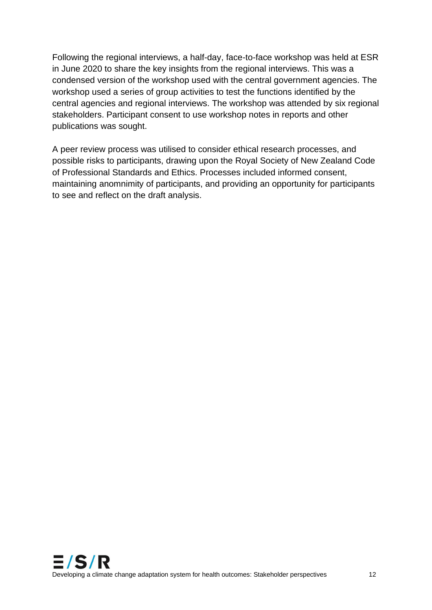Following the regional interviews, a half-day, face-to-face workshop was held at ESR in June 2020 to share the key insights from the regional interviews. This was a condensed version of the workshop used with the central government agencies. The workshop used a series of group activities to test the functions identified by the central agencies and regional interviews. The workshop was attended by six regional stakeholders. Participant consent to use workshop notes in reports and other publications was sought.

A peer review process was utilised to consider ethical research processes, and possible risks to participants, drawing upon the Royal Society of New Zealand Code of Professional Standards and Ethics. Processes included informed consent, maintaining anomnimity of participants, and providing an opportunity for participants to see and reflect on the draft analysis.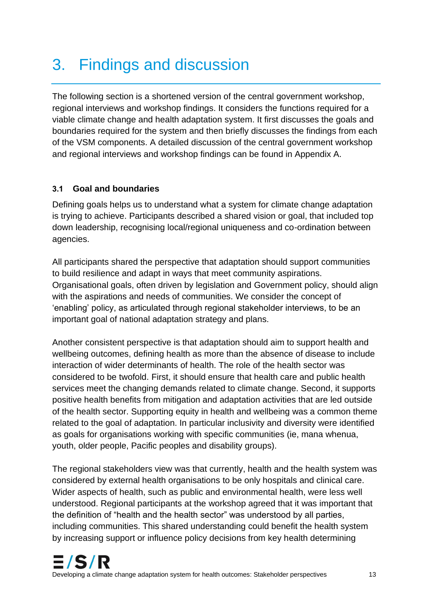## 3. Findings and discussion

The following section is a shortened version of the central government workshop, regional interviews and workshop findings. It considers the functions required for a viable climate change and health adaptation system. It first discusses the goals and boundaries required for the system and then briefly discusses the findings from each of the VSM components. A detailed discussion of the central government workshop and regional interviews and workshop findings can be found in Appendix A.

## **3.1 Goal and boundaries**

Defining goals helps us to understand what a system for climate change adaptation is trying to achieve. Participants described a shared vision or goal, that included top down leadership, recognising local/regional uniqueness and co-ordination between agencies.

All participants shared the perspective that adaptation should support communities to build resilience and adapt in ways that meet community aspirations. Organisational goals, often driven by legislation and Government policy, should align with the aspirations and needs of communities. We consider the concept of 'enabling' policy, as articulated through regional stakeholder interviews, to be an important goal of national adaptation strategy and plans.

Another consistent perspective is that adaptation should aim to support health and wellbeing outcomes, defining health as more than the absence of disease to include interaction of wider determinants of health. The role of the health sector was considered to be twofold. First, it should ensure that health care and public health services meet the changing demands related to climate change. Second, it supports positive health benefits from mitigation and adaptation activities that are led outside of the health sector. Supporting equity in health and wellbeing was a common theme related to the goal of adaptation. In particular inclusivity and diversity were identified as goals for organisations working with specific communities (ie, mana whenua, youth, older people, Pacific peoples and disability groups).

The regional stakeholders view was that currently, health and the health system was considered by external health organisations to be only hospitals and clinical care. Wider aspects of health, such as public and environmental health, were less well understood. Regional participants at the workshop agreed that it was important that the definition of "health and the health sector" was understood by all parties, including communities. This shared understanding could benefit the health system by increasing support or influence policy decisions from key health determining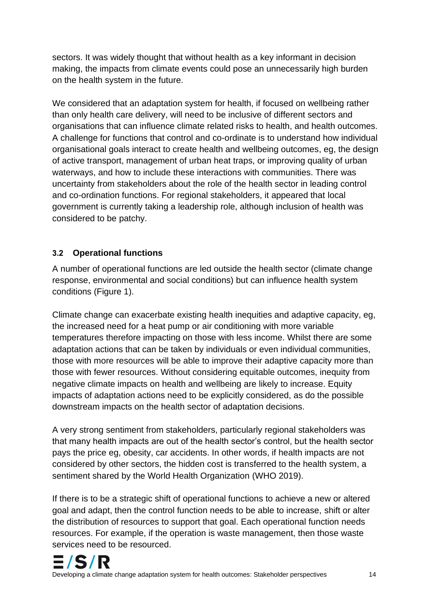sectors. It was widely thought that without health as a key informant in decision making, the impacts from climate events could pose an unnecessarily high burden on the health system in the future.

We considered that an adaptation system for health, if focused on wellbeing rather than only health care delivery, will need to be inclusive of different sectors and organisations that can influence climate related risks to health, and health outcomes. A challenge for functions that control and co-ordinate is to understand how individual organisational goals interact to create health and wellbeing outcomes, eg, the design of active transport, management of urban heat traps, or improving quality of urban waterways, and how to include these interactions with communities. There was uncertainty from stakeholders about the role of the health sector in leading control and co-ordination functions. For regional stakeholders, it appeared that local government is currently taking a leadership role, although inclusion of health was considered to be patchy.

## **3.2 Operational functions**

A number of operational functions are led outside the health sector (climate change response, environmental and social conditions) but can influence health system conditions (Figure 1).

Climate change can exacerbate existing health inequities and adaptive capacity, eg, the increased need for a heat pump or air conditioning with more variable temperatures therefore impacting on those with less income. Whilst there are some adaptation actions that can be taken by individuals or even individual communities, those with more resources will be able to improve their adaptive capacity more than those with fewer resources. Without considering equitable outcomes, inequity from negative climate impacts on health and wellbeing are likely to increase. Equity impacts of adaptation actions need to be explicitly considered, as do the possible downstream impacts on the health sector of adaptation decisions.

A very strong sentiment from stakeholders, particularly regional stakeholders was that many health impacts are out of the health sector's control, but the health sector pays the price eg, obesity, car accidents. In other words, if health impacts are not considered by other sectors, the hidden cost is transferred to the health system, a sentiment shared by the World Health Organization (WHO 2019).

If there is to be a strategic shift of operational functions to achieve a new or altered goal and adapt, then the control function needs to be able to increase, shift or alter the distribution of resources to support that goal. Each operational function needs resources. For example, if the operation is waste management, then those waste services need to be resourced.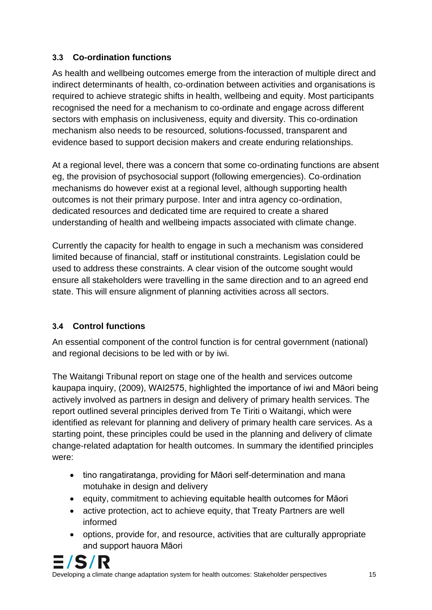## **3.3 Co-ordination functions**

As health and wellbeing outcomes emerge from the interaction of multiple direct and indirect determinants of health, co-ordination between activities and organisations is required to achieve strategic shifts in health, wellbeing and equity. Most participants recognised the need for a mechanism to co-ordinate and engage across different sectors with emphasis on inclusiveness, equity and diversity. This co-ordination mechanism also needs to be resourced, solutions-focussed, transparent and evidence based to support decision makers and create enduring relationships.

At a regional level, there was a concern that some co-ordinating functions are absent eg, the provision of psychosocial support (following emergencies). Co-ordination mechanisms do however exist at a regional level, although supporting health outcomes is not their primary purpose. Inter and intra agency co-ordination, dedicated resources and dedicated time are required to create a shared understanding of health and wellbeing impacts associated with climate change.

Currently the capacity for health to engage in such a mechanism was considered limited because of financial, staff or institutional constraints. Legislation could be used to address these constraints. A clear vision of the outcome sought would ensure all stakeholders were travelling in the same direction and to an agreed end state. This will ensure alignment of planning activities across all sectors.

## **3.4 Control functions**

An essential component of the control function is for central government (national) and regional decisions to be led with or by iwi.

The Waitangi Tribunal report on stage one of the health and services outcome kaupapa inquiry, (2009), WAI2575, highlighted the importance of iwi and Māori being actively involved as partners in design and delivery of primary health services. The report outlined several principles derived from Te Tiriti o Waitangi, which were identified as relevant for planning and delivery of primary health care services. As a starting point, these principles could be used in the planning and delivery of climate change-related adaptation for health outcomes. In summary the identified principles were:

- tino rangatiratanga, providing for Māori self-determination and mana motuhake in design and delivery
- equity, commitment to achieving equitable health outcomes for Māori
- active protection, act to achieve equity, that Treaty Partners are well informed
- options, provide for, and resource, activities that are culturally appropriate and support hauora Māori

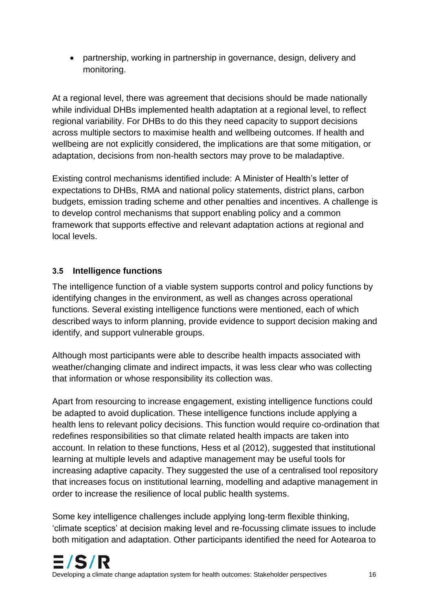• partnership, working in partnership in governance, design, delivery and monitoring.

At a regional level, there was agreement that decisions should be made nationally while individual DHBs implemented health adaptation at a regional level, to reflect regional variability. For DHBs to do this they need capacity to support decisions across multiple sectors to maximise health and wellbeing outcomes. If health and wellbeing are not explicitly considered, the implications are that some mitigation, or adaptation, decisions from non-health sectors may prove to be maladaptive.

Existing control mechanisms identified include: A Minister of Health's letter of expectations to DHBs, RMA and national policy statements, district plans, carbon budgets, emission trading scheme and other penalties and incentives. A challenge is to develop control mechanisms that support enabling policy and a common framework that supports effective and relevant adaptation actions at regional and local levels.

### **3.5 Intelligence functions**

The intelligence function of a viable system supports control and policy functions by identifying changes in the environment, as well as changes across operational functions. Several existing intelligence functions were mentioned, each of which described ways to inform planning, provide evidence to support decision making and identify, and support vulnerable groups.

Although most participants were able to describe health impacts associated with weather/changing climate and indirect impacts, it was less clear who was collecting that information or whose responsibility its collection was.

Apart from resourcing to increase engagement, existing intelligence functions could be adapted to avoid duplication. These intelligence functions include applying a health lens to relevant policy decisions. This function would require co-ordination that redefines responsibilities so that climate related health impacts are taken into account. In relation to these functions, Hess et al (2012), suggested that institutional learning at multiple levels and adaptive management may be useful tools for increasing adaptive capacity. They suggested the use of a centralised tool repository that increases focus on institutional learning, modelling and adaptive management in order to increase the resilience of local public health systems.

Some key intelligence challenges include applying long-term flexible thinking, 'climate sceptics' at decision making level and re-focussing climate issues to include both mitigation and adaptation. Other participants identified the need for Aotearoa to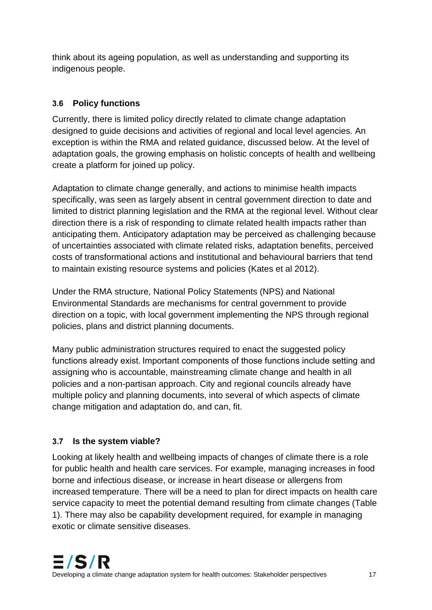think about its ageing population, as well as understanding and supporting its indigenous people.

## **3.6 Policy functions**

Currently, there is limited policy directly related to climate change adaptation designed to guide decisions and activities of regional and local level agencies. An exception is within the RMA and related guidance, discussed below. At the level of adaptation goals, the growing emphasis on holistic concepts of health and wellbeing create a platform for joined up policy.

Adaptation to climate change generally, and actions to minimise health impacts specifically, was seen as largely absent in central government direction to date and limited to district planning legislation and the RMA at the regional level. Without clear direction there is a risk of responding to climate related health impacts rather than anticipating them. Anticipatory adaptation may be perceived as challenging because of uncertainties associated with climate related risks, adaptation benefits, perceived costs of transformational actions and institutional and behavioural barriers that tend to maintain existing resource systems and policies (Kates et al 2012).

Under the RMA structure, National Policy Statements (NPS) and National Environmental Standards are mechanisms for central government to provide direction on a topic, with local government implementing the NPS through regional policies, plans and district planning documents.

Many public administration structures required to enact the suggested policy functions already exist. Important components of those functions include setting and assigning who is accountable, mainstreaming climate change and health in all policies and a non-partisan approach. City and regional councils already have multiple policy and planning documents, into several of which aspects of climate change mitigation and adaptation do, and can, fit.

## **3.7 Is the system viable?**

Looking at likely health and wellbeing impacts of changes of climate there is a role for public health and health care services. For example, managing increases in food borne and infectious disease, or increase in heart disease or allergens from increased temperature. There will be a need to plan for direct impacts on health care service capacity to meet the potential demand resulting from climate changes (Table 1). There may also be capability development required, for example in managing exotic or climate sensitive diseases.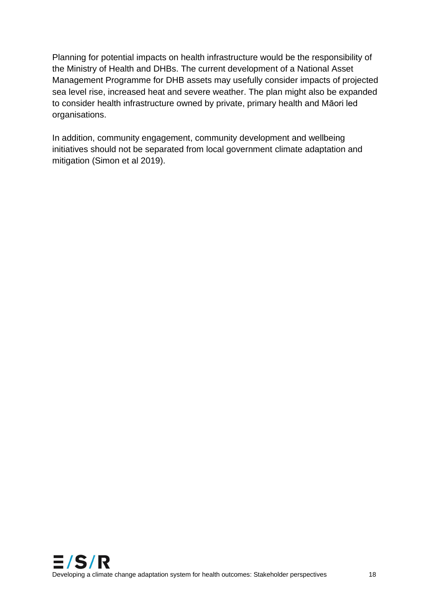Planning for potential impacts on health infrastructure would be the responsibility of the Ministry of Health and DHBs. The current development of a National Asset Management Programme for DHB assets may usefully consider impacts of projected sea level rise, increased heat and severe weather. The plan might also be expanded to consider health infrastructure owned by private, primary health and Māori led organisations.

In addition, community engagement, community development and wellbeing initiatives should not be separated from local government climate adaptation and mitigation (Simon et al 2019).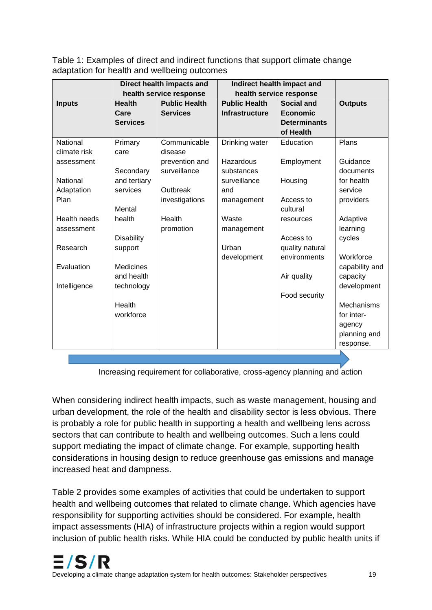<span id="page-23-0"></span>Table 1: Examples of direct and indirect functions that support climate change adaptation for health and wellbeing outcomes

|                     | Direct health impacts and |                         | Indirect health impact and |                     |                |
|---------------------|---------------------------|-------------------------|----------------------------|---------------------|----------------|
|                     |                           | health service response | health service response    |                     |                |
| <b>Inputs</b>       | <b>Health</b>             | <b>Public Health</b>    | <b>Public Health</b>       | <b>Social and</b>   | <b>Outputs</b> |
|                     | Care                      | <b>Services</b>         | <b>Infrastructure</b>      | <b>Economic</b>     |                |
|                     | <b>Services</b>           |                         |                            | <b>Determinants</b> |                |
|                     |                           |                         |                            | of Health           |                |
| National            | Primary                   | Communicable            | Drinking water             | Education           | Plans          |
| climate risk        | care                      | disease                 |                            |                     |                |
| assessment          |                           | prevention and          | Hazardous                  | Employment          | Guidance       |
|                     | Secondary                 | surveillance            | substances                 |                     | documents      |
| National            | and tertiary              |                         | surveillance               | Housing             | for health     |
| Adaptation          | services                  | Outbreak                | and                        |                     | service        |
| Plan                |                           | investigations          | management                 | Access to           | providers      |
|                     | Mental                    |                         |                            | cultural            |                |
| <b>Health needs</b> | health                    | Health                  | Waste                      | resources           | Adaptive       |
| assessment          |                           | promotion               | management                 |                     | learning       |
|                     | <b>Disability</b>         |                         |                            | Access to           | cycles         |
| Research            | support                   |                         | Urban                      | quality natural     |                |
|                     |                           |                         | development                | environments        | Workforce      |
| Evaluation          | <b>Medicines</b>          |                         |                            |                     | capability and |
|                     | and health                |                         |                            | Air quality         | capacity       |
| Intelligence        | technology                |                         |                            |                     | development    |
|                     |                           |                         |                            | Food security       |                |
|                     | Health                    |                         |                            |                     | Mechanisms     |
|                     | workforce                 |                         |                            |                     | for inter-     |
|                     |                           |                         |                            |                     | agency         |
|                     |                           |                         |                            |                     | planning and   |
|                     |                           |                         |                            |                     | response.      |
|                     |                           |                         |                            |                     |                |

Increasing requirement for collaborative, cross-agency planning and action

When considering indirect health impacts, such as waste management, housing and urban development, the role of the health and disability sector is less obvious. There is probably a role for public health in supporting a health and wellbeing lens across sectors that can contribute to health and wellbeing outcomes. Such a lens could support mediating the impact of climate change. For example, supporting health considerations in housing design to reduce greenhouse gas emissions and manage increased heat and dampness.

Table 2 provides some examples of activities that could be undertaken to support health and wellbeing outcomes that related to climate change. Which agencies have responsibility for supporting activities should be considered. For example, health impact assessments (HIA) of infrastructure projects within a region would support inclusion of public health risks. While HIA could be conducted by public health units if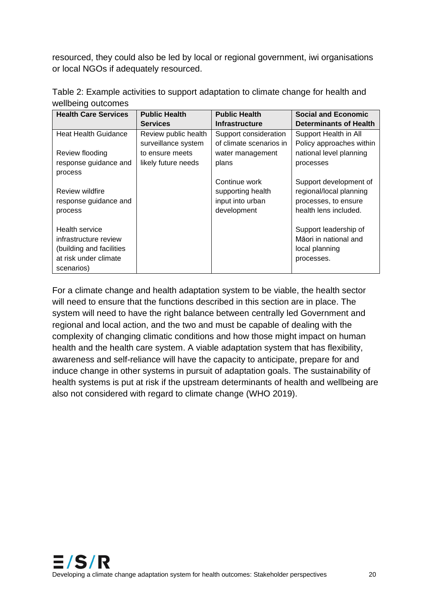resourced, they could also be led by local or regional government, iwi organisations or local NGOs if adequately resourced.

| <b>Health Care Services</b>      | <b>Public Health</b> | <b>Public Health</b>    | <b>Social and Economic</b>    |  |
|----------------------------------|----------------------|-------------------------|-------------------------------|--|
|                                  | <b>Services</b>      | <b>Infrastructure</b>   | <b>Determinants of Health</b> |  |
| <b>Heat Health Guidance</b>      | Review public health | Support consideration   | Support Health in All         |  |
|                                  | surveillance system  | of climate scenarios in | Policy approaches within      |  |
| Review flooding                  | to ensure meets      | water management        | national level planning       |  |
| response guidance and<br>process | likely future needs  | plans                   | processes                     |  |
|                                  |                      | Continue work           | Support development of        |  |
| Review wildfire                  |                      | supporting health       | regional/local planning       |  |
| response guidance and            |                      | input into urban        | processes, to ensure          |  |
| process                          |                      | development             | health lens included.         |  |
| <b>Health service</b>            |                      |                         | Support leadership of         |  |
| infrastructure review            |                      |                         | Māori in national and         |  |
| (building and facilities         |                      |                         | local planning                |  |
| at risk under climate            |                      |                         | processes.                    |  |
| scenarios)                       |                      |                         |                               |  |

<span id="page-24-0"></span>Table 2: Example activities to support adaptation to climate change for health and wellbeing outcomes

For a climate change and health adaptation system to be viable, the health sector will need to ensure that the functions described in this section are in place. The system will need to have the right balance between centrally led Government and regional and local action, and the two and must be capable of dealing with the complexity of changing climatic conditions and how those might impact on human health and the health care system. A viable adaptation system that has flexibility, awareness and self-reliance will have the capacity to anticipate, prepare for and induce change in other systems in pursuit of adaptation goals. The sustainability of health systems is put at risk if the upstream determinants of health and wellbeing are also not considered with regard to climate change (WHO 2019).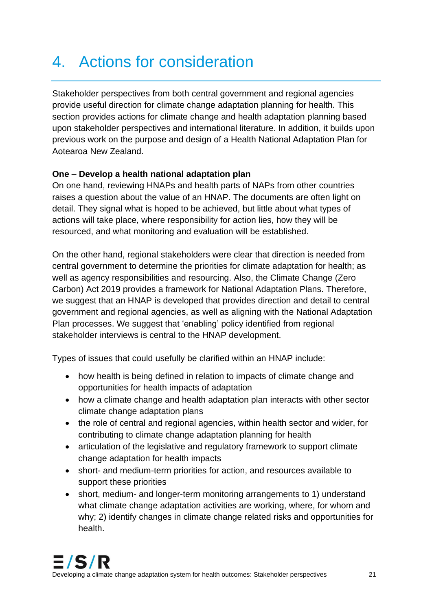## 4. Actions for consideration

Stakeholder perspectives from both central government and regional agencies provide useful direction for climate change adaptation planning for health. This section provides actions for climate change and health adaptation planning based upon stakeholder perspectives and international literature. In addition, it builds upon previous work on the purpose and design of a Health National Adaptation Plan for Aotearoa New Zealand.

### **One – Develop a health national adaptation plan**

On one hand, reviewing HNAPs and health parts of NAPs from other countries raises a question about the value of an HNAP. The documents are often light on detail. They signal what is hoped to be achieved, but little about what types of actions will take place, where responsibility for action lies, how they will be resourced, and what monitoring and evaluation will be established.

On the other hand, regional stakeholders were clear that direction is needed from central government to determine the priorities for climate adaptation for health; as well as agency responsibilities and resourcing. Also, the Climate Change (Zero Carbon) Act 2019 provides a framework for National Adaptation Plans. Therefore, we suggest that an HNAP is developed that provides direction and detail to central government and regional agencies, as well as aligning with the National Adaptation Plan processes. We suggest that 'enabling' policy identified from regional stakeholder interviews is central to the HNAP development.

Types of issues that could usefully be clarified within an HNAP include:

- how health is being defined in relation to impacts of climate change and opportunities for health impacts of adaptation
- how a climate change and health adaptation plan interacts with other sector climate change adaptation plans
- the role of central and regional agencies, within health sector and wider, for contributing to climate change adaptation planning for health
- articulation of the legislative and regulatory framework to support climate change adaptation for health impacts
- short- and medium-term priorities for action, and resources available to support these priorities
- short, medium- and longer-term monitoring arrangements to 1) understand what climate change adaptation activities are working, where, for whom and why; 2) identify changes in climate change related risks and opportunities for health.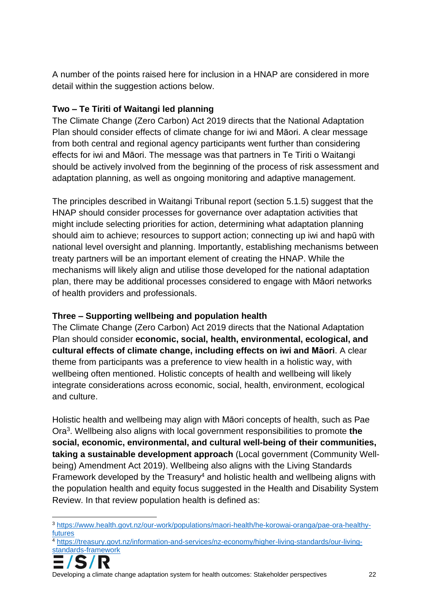A number of the points raised here for inclusion in a HNAP are considered in more detail within the suggestion actions below.

## **Two – Te Tiriti of Waitangi led planning**

The Climate Change (Zero Carbon) Act 2019 directs that the National Adaptation Plan should consider effects of climate change for iwi and Māori. A clear message from both central and regional agency participants went further than considering effects for iwi and Māori. The message was that partners in Te Tiriti o Waitangi should be actively involved from the beginning of the process of risk assessment and adaptation planning, as well as ongoing monitoring and adaptive management.

The principles described in Waitangi Tribunal report (section 5.1.5) suggest that the HNAP should consider processes for governance over adaptation activities that might include selecting priorities for action, determining what adaptation planning should aim to achieve; resources to support action; connecting up iwi and hapū with national level oversight and planning. Importantly, establishing mechanisms between treaty partners will be an important element of creating the HNAP. While the mechanisms will likely align and utilise those developed for the national adaptation plan, there may be additional processes considered to engage with Māori networks of health providers and professionals.

## **Three – Supporting wellbeing and population health**

The Climate Change (Zero Carbon) Act 2019 directs that the National Adaptation Plan should consider **economic, social, health, environmental, ecological, and cultural effects of climate change, including effects on iwi and Māori**. A clear theme from participants was a preference to view health in a holistic way, with wellbeing often mentioned. Holistic concepts of health and wellbeing will likely integrate considerations across economic, social, health, environment, ecological and culture.

Holistic health and wellbeing may align with Māori concepts of health, such as Pae Ora<sup>3</sup> . Wellbeing also aligns with local government responsibilities to promote **the social, economic, environmental, and cultural well-being of their communities, taking a sustainable development approach** (Local government (Community Wellbeing) Amendment Act 2019). Wellbeing also aligns with the Living Standards Framework developed by the Treasury<sup>4</sup> and holistic health and wellbeing aligns with the population health and equity focus suggested in the Health and Disability System Review. In that review population health is defined as:

<sup>4</sup> [https://treasury.govt.nz/information-and-services/nz-economy/higher-living-standards/our-living](https://treasury.govt.nz/information-and-services/nz-economy/higher-living-standards/our-living-standards-framework)[standards-framework](https://treasury.govt.nz/information-and-services/nz-economy/higher-living-standards/our-living-standards-framework)



Developing a climate change adaptation system for health outcomes: Stakeholder perspectives 22

<sup>3</sup> [https://www.health.govt.nz/our-work/populations/maori-health/he-korowai-oranga/pae-ora-healthy](https://www.health.govt.nz/our-work/populations/maori-health/he-korowai-oranga/pae-ora-healthy-futures)[futures](https://www.health.govt.nz/our-work/populations/maori-health/he-korowai-oranga/pae-ora-healthy-futures)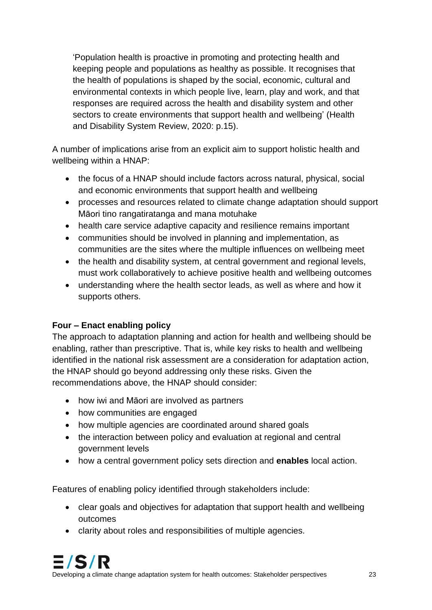'Population health is proactive in promoting and protecting health and keeping people and populations as healthy as possible. It recognises that the health of populations is shaped by the social, economic, cultural and environmental contexts in which people live, learn, play and work, and that responses are required across the health and disability system and other sectors to create environments that support health and wellbeing' (Health and Disability System Review, 2020: p.15).

A number of implications arise from an explicit aim to support holistic health and wellbeing within a HNAP:

- the focus of a HNAP should include factors across natural, physical, social and economic environments that support health and wellbeing
- processes and resources related to climate change adaptation should support Māori tino rangatiratanga and mana motuhake
- health care service adaptive capacity and resilience remains important
- communities should be involved in planning and implementation, as communities are the sites where the multiple influences on wellbeing meet
- the health and disability system, at central government and regional levels, must work collaboratively to achieve positive health and wellbeing outcomes
- understanding where the health sector leads, as well as where and how it supports others.

## **Four – Enact enabling policy**

The approach to adaptation planning and action for health and wellbeing should be enabling, rather than prescriptive. That is, while key risks to health and wellbeing identified in the national risk assessment are a consideration for adaptation action, the HNAP should go beyond addressing only these risks. Given the recommendations above, the HNAP should consider:

- how iwi and Māori are involved as partners
- how communities are engaged
- how multiple agencies are coordinated around shared goals
- the interaction between policy and evaluation at regional and central government levels
- how a central government policy sets direction and **enables** local action.

Features of enabling policy identified through stakeholders include:

- clear goals and objectives for adaptation that support health and wellbeing outcomes
- clarity about roles and responsibilities of multiple agencies.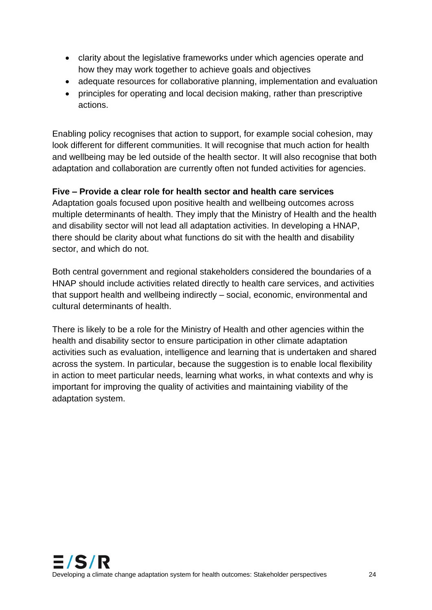- clarity about the legislative frameworks under which agencies operate and how they may work together to achieve goals and objectives
- adequate resources for collaborative planning, implementation and evaluation
- principles for operating and local decision making, rather than prescriptive actions.

Enabling policy recognises that action to support, for example social cohesion, may look different for different communities. It will recognise that much action for health and wellbeing may be led outside of the health sector. It will also recognise that both adaptation and collaboration are currently often not funded activities for agencies.

### **Five – Provide a clear role for health sector and health care services**

Adaptation goals focused upon positive health and wellbeing outcomes across multiple determinants of health. They imply that the Ministry of Health and the health and disability sector will not lead all adaptation activities. In developing a HNAP, there should be clarity about what functions do sit with the health and disability sector, and which do not.

Both central government and regional stakeholders considered the boundaries of a HNAP should include activities related directly to health care services, and activities that support health and wellbeing indirectly – social, economic, environmental and cultural determinants of health.

There is likely to be a role for the Ministry of Health and other agencies within the health and disability sector to ensure participation in other climate adaptation activities such as evaluation, intelligence and learning that is undertaken and shared across the system. In particular, because the suggestion is to enable local flexibility in action to meet particular needs, learning what works, in what contexts and why is important for improving the quality of activities and maintaining viability of the adaptation system.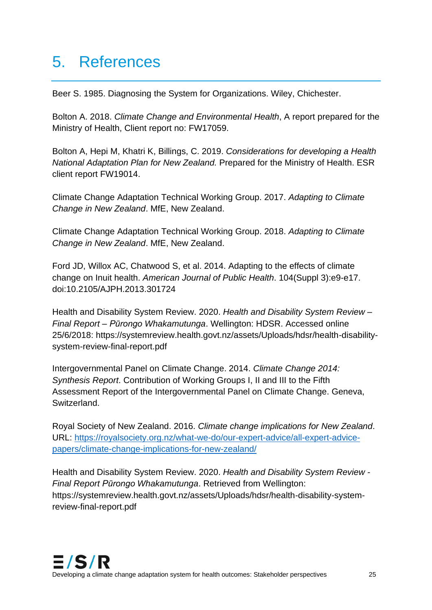## 5. References

Beer S. 1985. Diagnosing the System for Organizations. Wiley, Chichester.

Bolton A. 2018. *Climate Change and Environmental Health*, A report prepared for the Ministry of Health, Client report no: FW17059.

Bolton A, Hepi M, Khatri K, Billings, C. 2019. *Considerations for developing a Health National Adaptation Plan for New Zealand.* Prepared for the Ministry of Health. ESR client report FW19014.

Climate Change Adaptation Technical Working Group. 2017. *Adapting to Climate Change in New Zealand*. MfE, New Zealand.

Climate Change Adaptation Technical Working Group. 2018. *Adapting to Climate Change in New Zealand*. MfE, New Zealand.

Ford JD, Willox AC, Chatwood S, et al. 2014. Adapting to the effects of climate change on Inuit health. *American Journal of Public Health*. 104(Suppl 3):e9-e17. doi:10.2105/AJPH.2013.301724

Health and Disability System Review. 2020. *Health and Disability System Review – Final Report – Pūrongo Whakamutunga*. Wellington: HDSR. Accessed online 25/6/2018: [https://systemreview.health.govt.nz/assets/Uploads/hdsr/health-disability](https://systemreview.health.govt.nz/assets/Uploads/hdsr/health-disability-system-review-final-report.pdf)[system-review-final-report.pdf](https://systemreview.health.govt.nz/assets/Uploads/hdsr/health-disability-system-review-final-report.pdf)

Intergovernmental Panel on Climate Change. 2014. *Climate Change 2014: Synthesis Report*. Contribution of Working Groups I, II and III to the Fifth Assessment Report of the Intergovernmental Panel on Climate Change. Geneva, Switzerland.

Royal Society of New Zealand. 2016. *Climate change implications for New Zealand*. URL: [https://royalsociety.org.nz/what-we-do/our-expert-advice/all-expert-advice](https://royalsociety.org.nz/what-we-do/our-expert-advice/all-expert-advice-papers/climate-change-implications-for-new-zealand/)[papers/climate-change-implications-for-new-zealand/](https://royalsociety.org.nz/what-we-do/our-expert-advice/all-expert-advice-papers/climate-change-implications-for-new-zealand/)

Health and Disability System Review. 2020. *Health and Disability System Review - Final Report Pūrongo Whakamutunga*. Retrieved from Wellington: [https://systemreview.health.govt.nz/assets/Uploads/hdsr/health-disability-system](https://systemreview.health.govt.nz/assets/Uploads/hdsr/health-disability-system-review-final-report.pdf)[review-final-report.pdf](https://systemreview.health.govt.nz/assets/Uploads/hdsr/health-disability-system-review-final-report.pdf)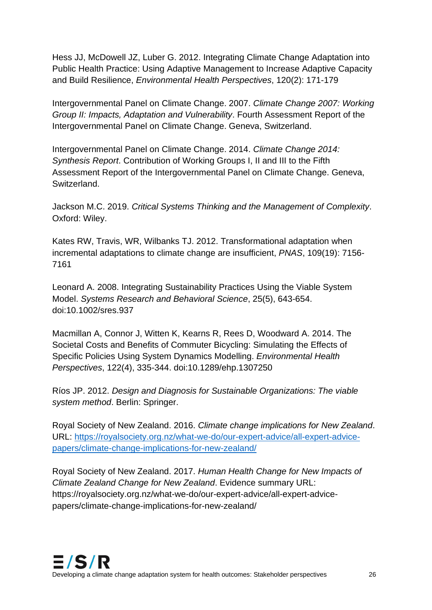Hess JJ, McDowell JZ, Luber G. 2012. Integrating Climate Change Adaptation into Public Health Practice: Using Adaptive Management to Increase Adaptive Capacity and Build Resilience, *Environmental Health Perspectives*, 120(2): 171-179

Intergovernmental Panel on Climate Change. 2007. *Climate Change 2007: Working Group II: Impacts, Adaptation and Vulnerability*. Fourth Assessment Report of the Intergovernmental Panel on Climate Change. Geneva, Switzerland.

Intergovernmental Panel on Climate Change. 2014. *Climate Change 2014: Synthesis Report*. Contribution of Working Groups I, II and III to the Fifth Assessment Report of the Intergovernmental Panel on Climate Change. Geneva, Switzerland.

Jackson M.C. 2019. *Critical Systems Thinking and the Management of Complexity*. Oxford: Wiley.

Kates RW, Travis, WR, Wilbanks TJ. 2012. Transformational adaptation when incremental adaptations to climate change are insufficient, *PNAS*, 109(19): 7156- 7161

Leonard A. 2008. Integrating Sustainability Practices Using the Viable System Model. *Systems Research and Behavioral Science*, 25(5), 643-654. doi:10.1002/sres.937

Macmillan A, Connor J, Witten K, Kearns R, Rees D, Woodward A. 2014. The Societal Costs and Benefits of Commuter Bicycling: Simulating the Effects of Specific Policies Using System Dynamics Modelling. *Environmental Health Perspectives*, 122(4), 335-344. doi:10.1289/ehp.1307250

Ríos JP. 2012. *Design and Diagnosis for Sustainable Organizations: The viable system method*. Berlin: Springer.

Royal Society of New Zealand. 2016. *Climate change implications for New Zealand*. URL: [https://royalsociety.org.nz/what-we-do/our-expert-advice/all-expert-advice](https://royalsociety.org.nz/what-we-do/our-expert-advice/all-expert-advice-papers/climate-change-implications-for-new-zealand/)[papers/climate-change-implications-for-new-zealand/](https://royalsociety.org.nz/what-we-do/our-expert-advice/all-expert-advice-papers/climate-change-implications-for-new-zealand/)

Royal Society of New Zealand. 2017. *Human Health Change for New Impacts of Climate Zealand Change for New Zealand*. Evidence summary URL: [https://royalsociety.org.nz/what-we-do/our-expert-advice/all-expert-advice](https://royalsociety.org.nz/what-we-do/our-expert-advice/all-expert-advice-papers/climate-change-implications-for-new-zealand/)[papers/climate-change-implications-for-new-zealand/](https://royalsociety.org.nz/what-we-do/our-expert-advice/all-expert-advice-papers/climate-change-implications-for-new-zealand/)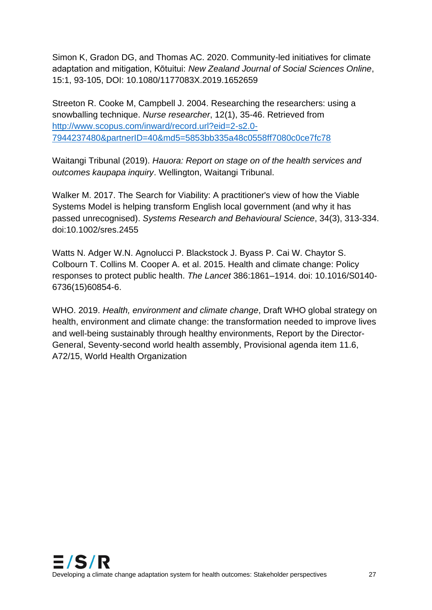Simon K, Gradon DG, and Thomas AC. 2020. Community-led initiatives for climate adaptation and mitigation, Kōtuitui: *New Zealand Journal of Social Sciences Online*, 15:1, 93-105, DOI: 10.1080/1177083X.2019.1652659

Streeton R. Cooke M, Campbell J. 2004. Researching the researchers: using a snowballing technique. *Nurse researcher*, 12(1), 35-46. Retrieved from [http://www.scopus.com/inward/record.url?eid=2-s2.0-](http://www.scopus.com/inward/record.url?eid=2-s2.0-7944237480&partnerID=40&md5=5853bb335a48c0558ff7080c0ce7fc78) [7944237480&partnerID=40&md5=5853bb335a48c0558ff7080c0ce7fc78](http://www.scopus.com/inward/record.url?eid=2-s2.0-7944237480&partnerID=40&md5=5853bb335a48c0558ff7080c0ce7fc78)

Waitangi Tribunal (2019). *Hauora: Report on stage on of the health services and outcomes kaupapa inquiry*. Wellington, Waitangi Tribunal.

Walker M. 2017. The Search for Viability: A practitioner's view of how the Viable Systems Model is helping transform English local government (and why it has passed unrecognised). *Systems Research and Behavioural Science*, 34(3), 313-334. doi:10.1002/sres.2455

Watts N. Adger W.N. Agnolucci P. Blackstock J. Byass P. Cai W. Chaytor S. Colbourn T. Collins M. Cooper A. et al. 2015. Health and climate change: Policy responses to protect public health. *The Lancet* 386:1861–1914. doi: 10.1016/S0140- 6736(15)60854-6.

WHO. 2019. *Health, environment and climate change*, Draft WHO global strategy on health, environment and climate change: the transformation needed to improve lives and well-being sustainably through healthy environments, Report by the Director-General, Seventy-second world health assembly, Provisional agenda item 11.6, A72/15, World Health Organization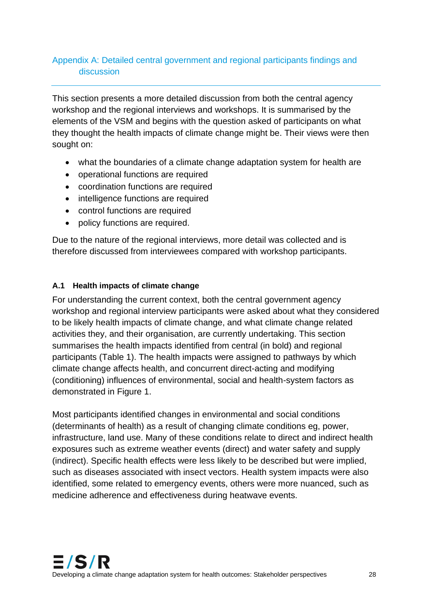## Appendix A: Detailed central government and regional participants findings and discussion

This section presents a more detailed discussion from both the central agency workshop and the regional interviews and workshops. It is summarised by the elements of the VSM and begins with the question asked of participants on what they thought the health impacts of climate change might be. Their views were then sought on:

- what the boundaries of a climate change adaptation system for health are
- operational functions are required
- coordination functions are required
- intelligence functions are required
- control functions are required
- policy functions are required.

Due to the nature of the regional interviews, more detail was collected and is therefore discussed from interviewees compared with workshop participants.

#### **A.1 Health impacts of climate change**

For understanding the current context, both the central government agency workshop and regional interview participants were asked about what they considered to be likely health impacts of climate change, and what climate change related activities they, and their organisation, are currently undertaking. This section summarises the health impacts identified from central (in bold) and regional participants (Table 1). The health impacts were assigned to pathways by which climate change affects health, and concurrent direct-acting and modifying (conditioning) influences of environmental, social and health-system factors as demonstrated in Figure 1.

Most participants identified changes in environmental and social conditions (determinants of health) as a result of changing climate conditions eg, power, infrastructure, land use. Many of these conditions relate to direct and indirect health exposures such as extreme weather events (direct) and water safety and supply (indirect). Specific health effects were less likely to be described but were implied, such as diseases associated with insect vectors. Health system impacts were also identified, some related to emergency events, others were more nuanced, such as medicine adherence and effectiveness during heatwave events.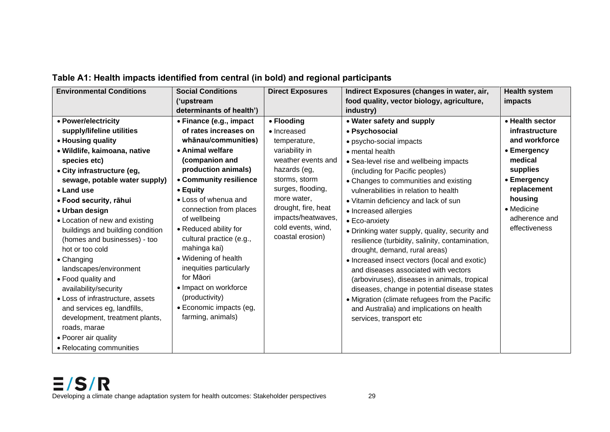| <b>Environmental Conditions</b>  | <b>Social Conditions</b> | <b>Direct Exposures</b> | Indirect Exposures (changes in water, air,      | <b>Health system</b> |
|----------------------------------|--------------------------|-------------------------|-------------------------------------------------|----------------------|
|                                  | ('upstream               |                         | food quality, vector biology, agriculture,      | impacts              |
|                                  | determinants of health') |                         | industry)                                       |                      |
| • Power/electricity              | • Finance (e.g., impact  | • Flooding              | • Water safety and supply                       | • Health sector      |
| supply/lifeline utilities        | of rates increases on    | • Increased             | • Psychosocial                                  | infrastructure       |
| • Housing quality                | whānau/communities)      | temperature,            | · psycho-social impacts                         | and workforce        |
| · Wildlife, kaimoana, native     | • Animal welfare         | variability in          | • mental health                                 | • Emergency          |
| species etc)                     | (companion and           | weather events and      | • Sea-level rise and wellbeing impacts          | medical              |
| • City infrastructure (eg,       | production animals)      | hazards (eg,            | (including for Pacific peoples)                 | supplies             |
| sewage, potable water supply)    | • Community resilience   | storms, storm           | • Changes to communities and existing           | • Emergency          |
| • Land use                       | • Equity                 | surges, flooding,       | vulnerabilities in relation to health           | replacement          |
| • Food security, rāhui           | • Loss of whenua and     | more water,             | • Vitamin deficiency and lack of sun            | housing              |
| • Urban design                   | connection from places   | drought, fire, heat     | • Increased allergies                           | • Medicine           |
| • Location of new and existing   | of wellbeing             | impacts/heatwaves,      | • Eco-anxiety                                   | adherence and        |
| buildings and building condition | • Reduced ability for    | cold events, wind,      | • Drinking water supply, quality, security and  | effectiveness        |
| (homes and businesses) - too     | cultural practice (e.g., | coastal erosion)        | resilience (turbidity, salinity, contamination, |                      |
| hot or too cold                  | mahinga kai)             |                         | drought, demand, rural areas)                   |                      |
| $\bullet$ Changing               | • Widening of health     |                         | • Increased insect vectors (local and exotic)   |                      |
| landscapes/environment           | inequities particularly  |                         | and diseases associated with vectors            |                      |
| • Food quality and               | for Māori                |                         | (arboviruses), diseases in animals, tropical    |                      |
| availability/security            | • Impact on workforce    |                         | diseases, change in potential disease states    |                      |
| • Loss of infrastructure, assets | (productivity)           |                         | • Migration (climate refugees from the Pacific  |                      |
| and services eg, landfills,      | • Economic impacts (eg,  |                         | and Australia) and implications on health       |                      |
| development, treatment plants,   | farming, animals)        |                         | services, transport etc                         |                      |
| roads, marae                     |                          |                         |                                                 |                      |
| • Poorer air quality             |                          |                         |                                                 |                      |
| • Relocating communities         |                          |                         |                                                 |                      |

## **Table A1: Health impacts identified from central (in bold) and regional participants**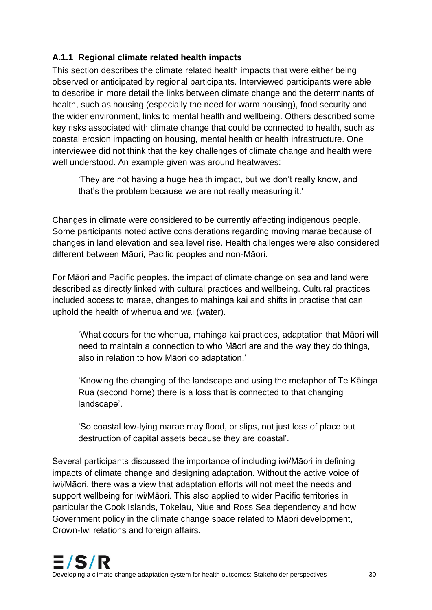## **A.1.1 Regional climate related health impacts**

This section describes the climate related health impacts that were either being observed or anticipated by regional participants. Interviewed participants were able to describe in more detail the links between climate change and the determinants of health, such as housing (especially the need for warm housing), food security and the wider environment, links to mental health and wellbeing. Others described some key risks associated with climate change that could be connected to health, such as coastal erosion impacting on housing, mental health or health infrastructure. One interviewee did not think that the key challenges of climate change and health were well understood. An example given was around heatwaves:

'They are not having a huge health impact, but we don't really know, and that's the problem because we are not really measuring it.'

Changes in climate were considered to be currently affecting indigenous people. Some participants noted active considerations regarding moving marae because of changes in land elevation and sea level rise. Health challenges were also considered different between Māori, Pacific peoples and non-Māori.

For Māori and Pacific peoples, the impact of climate change on sea and land were described as directly linked with cultural practices and wellbeing. Cultural practices included access to marae, changes to mahinga kai and shifts in practise that can uphold the health of whenua and wai (water).

'What occurs for the whenua, mahinga kai practices, adaptation that Māori will need to maintain a connection to who Māori are and the way they do things, also in relation to how Māori do adaptation.'

'Knowing the changing of the landscape and using the metaphor of Te Kāinga Rua (second home) there is a loss that is connected to that changing landscape'.

'So coastal low-lying marae may flood, or slips, not just loss of place but destruction of capital assets because they are coastal'.

Several participants discussed the importance of including iwi/Māori in defining impacts of climate change and designing adaptation. Without the active voice of iwi/Māori, there was a view that adaptation efforts will not meet the needs and support wellbeing for iwi/Māori. This also applied to wider Pacific territories in particular the Cook Islands, Tokelau, Niue and Ross Sea dependency and how Government policy in the climate change space related to Māori development, Crown-Iwi relations and foreign affairs.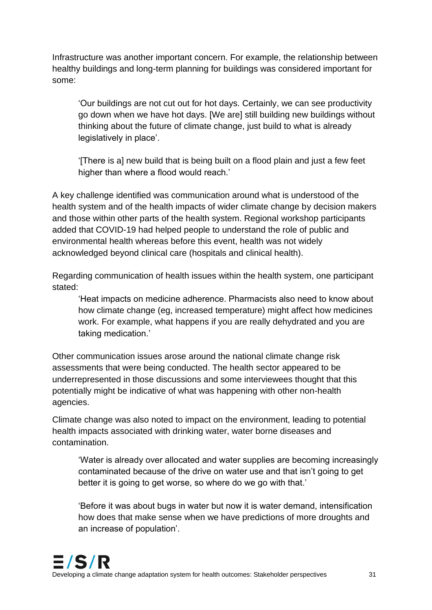Infrastructure was another important concern. For example, the relationship between healthy buildings and long-term planning for buildings was considered important for some:

'Our buildings are not cut out for hot days. Certainly, we can see productivity go down when we have hot days. [We are] still building new buildings without thinking about the future of climate change, just build to what is already legislatively in place'.

'[There is a] new build that is being built on a flood plain and just a few feet higher than where a flood would reach.'

A key challenge identified was communication around what is understood of the health system and of the health impacts of wider climate change by decision makers and those within other parts of the health system. Regional workshop participants added that COVID-19 had helped people to understand the role of public and environmental health whereas before this event, health was not widely acknowledged beyond clinical care (hospitals and clinical health).

Regarding communication of health issues within the health system, one participant stated:

'Heat impacts on medicine adherence. Pharmacists also need to know about how climate change (eg, increased temperature) might affect how medicines work. For example, what happens if you are really dehydrated and you are taking medication.'

Other communication issues arose around the national climate change risk assessments that were being conducted. The health sector appeared to be underrepresented in those discussions and some interviewees thought that this potentially might be indicative of what was happening with other non-health agencies.

Climate change was also noted to impact on the environment, leading to potential health impacts associated with drinking water, water borne diseases and contamination.

'Water is already over allocated and water supplies are becoming increasingly contaminated because of the drive on water use and that isn't going to get better it is going to get worse, so where do we go with that.'

'Before it was about bugs in water but now it is water demand, intensification how does that make sense when we have predictions of more droughts and an increase of population'.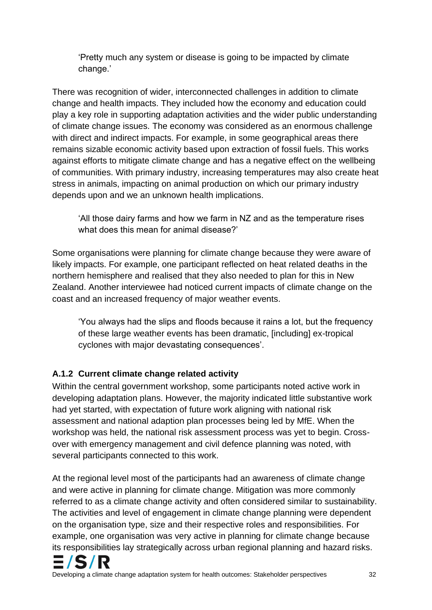'Pretty much any system or disease is going to be impacted by climate change.'

There was recognition of wider, interconnected challenges in addition to climate change and health impacts. They included how the economy and education could play a key role in supporting adaptation activities and the wider public understanding of climate change issues. The economy was considered as an enormous challenge with direct and indirect impacts. For example, in some geographical areas there remains sizable economic activity based upon extraction of fossil fuels. This works against efforts to mitigate climate change and has a negative effect on the wellbeing of communities. With primary industry, increasing temperatures may also create heat stress in animals, impacting on animal production on which our primary industry depends upon and we an unknown health implications.

'All those dairy farms and how we farm in NZ and as the temperature rises what does this mean for animal disease?'

Some organisations were planning for climate change because they were aware of likely impacts. For example, one participant reflected on heat related deaths in the northern hemisphere and realised that they also needed to plan for this in New Zealand. Another interviewee had noticed current impacts of climate change on the coast and an increased frequency of major weather events.

'You always had the slips and floods because it rains a lot, but the frequency of these large weather events has been dramatic, [including] ex-tropical cyclones with major devastating consequences'.

## **A.1.2 Current climate change related activity**

Within the central government workshop, some participants noted active work in developing adaptation plans. However, the majority indicated little substantive work had yet started, with expectation of future work aligning with national risk assessment and national adaption plan processes being led by MfE. When the workshop was held, the national risk assessment process was yet to begin. Crossover with emergency management and civil defence planning was noted, with several participants connected to this work.

At the regional level most of the participants had an awareness of climate change and were active in planning for climate change. Mitigation was more commonly referred to as a climate change activity and often considered similar to sustainability. The activities and level of engagement in climate change planning were dependent on the organisation type, size and their respective roles and responsibilities. For example, one organisation was very active in planning for climate change because its responsibilities lay strategically across urban regional planning and hazard risks.

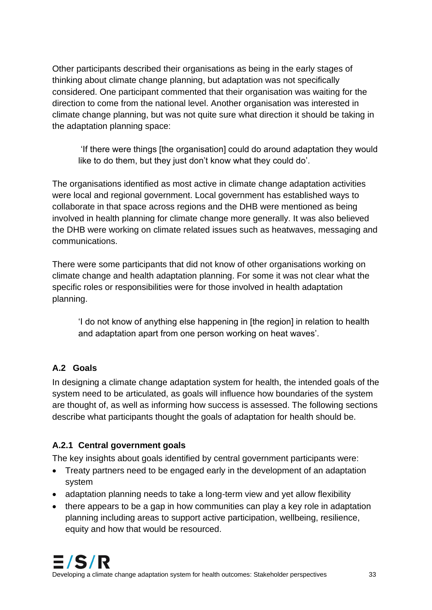Other participants described their organisations as being in the early stages of thinking about climate change planning, but adaptation was not specifically considered. One participant commented that their organisation was waiting for the direction to come from the national level. Another organisation was interested in climate change planning, but was not quite sure what direction it should be taking in the adaptation planning space:

'If there were things [the organisation] could do around adaptation they would like to do them, but they just don't know what they could do'.

The organisations identified as most active in climate change adaptation activities were local and regional government. Local government has established ways to collaborate in that space across regions and the DHB were mentioned as being involved in health planning for climate change more generally. It was also believed the DHB were working on climate related issues such as heatwaves, messaging and communications.

There were some participants that did not know of other organisations working on climate change and health adaptation planning. For some it was not clear what the specific roles or responsibilities were for those involved in health adaptation planning.

'I do not know of anything else happening in [the region] in relation to health and adaptation apart from one person working on heat waves'.

## **A.2 Goals**

In designing a climate change adaptation system for health, the intended goals of the system need to be articulated, as goals will influence how boundaries of the system are thought of, as well as informing how success is assessed. The following sections describe what participants thought the goals of adaptation for health should be.

## **A.2.1 Central government goals**

The key insights about goals identified by central government participants were:

- Treaty partners need to be engaged early in the development of an adaptation system
- adaptation planning needs to take a long-term view and yet allow flexibility
- there appears to be a gap in how communities can play a key role in adaptation planning including areas to support active participation, wellbeing, resilience, equity and how that would be resourced.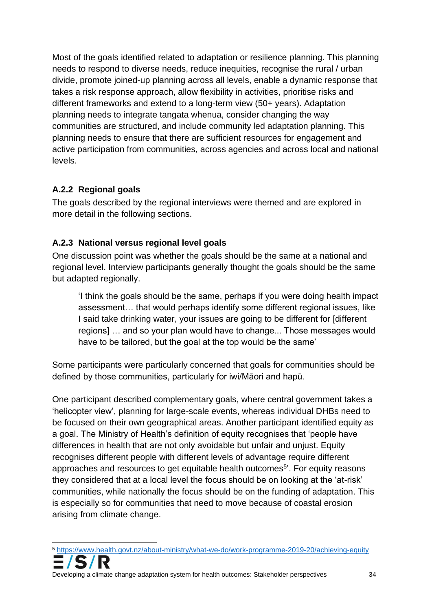Most of the goals identified related to adaptation or resilience planning. This planning needs to respond to diverse needs, reduce inequities, recognise the rural / urban divide, promote joined-up planning across all levels, enable a dynamic response that takes a risk response approach, allow flexibility in activities, prioritise risks and different frameworks and extend to a long-term view (50+ years). Adaptation planning needs to integrate tangata whenua, consider changing the way communities are structured, and include community led adaptation planning. This planning needs to ensure that there are sufficient resources for engagement and active participation from communities, across agencies and across local and national levels.

## **A.2.2 Regional goals**

The goals described by the regional interviews were themed and are explored in more detail in the following sections.

## **A.2.3 National versus regional level goals**

One discussion point was whether the goals should be the same at a national and regional level. Interview participants generally thought the goals should be the same but adapted regionally.

'I think the goals should be the same, perhaps if you were doing health impact assessment… that would perhaps identify some different regional issues, like I said take drinking water, your issues are going to be different for [different regions] … and so your plan would have to change... Those messages would have to be tailored, but the goal at the top would be the same'

Some participants were particularly concerned that goals for communities should be defined by those communities, particularly for iwi/Māori and hapū.

One participant described complementary goals, where central government takes a 'helicopter view', planning for large-scale events, whereas individual DHBs need to be focused on their own geographical areas. Another participant identified equity as a goal. The Ministry of Health's definition of equity recognises that 'people have differences in health that are not only avoidable but unfair and unjust. Equity recognises different people with different levels of advantage require different approaches and resources to get equitable health outcomes<sup>5</sup>'. For equity reasons they considered that at a local level the focus should be on looking at the 'at-risk' communities, while nationally the focus should be on the funding of adaptation. This is especially so for communities that need to move because of coastal erosion arising from climate change.

<sup>5</sup> <https://www.health.govt.nz/about-ministry/what-we-do/work-programme-2019-20/achieving-equity>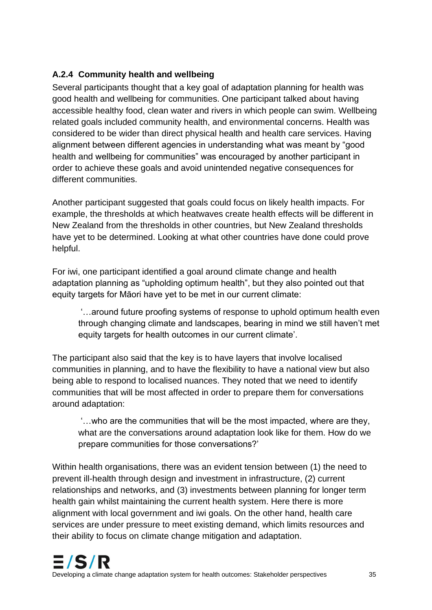## **A.2.4 Community health and wellbeing**

Several participants thought that a key goal of adaptation planning for health was good health and wellbeing for communities. One participant talked about having accessible healthy food, clean water and rivers in which people can swim. Wellbeing related goals included community health, and environmental concerns. Health was considered to be wider than direct physical health and health care services. Having alignment between different agencies in understanding what was meant by "good health and wellbeing for communities" was encouraged by another participant in order to achieve these goals and avoid unintended negative consequences for different communities.

Another participant suggested that goals could focus on likely health impacts. For example, the thresholds at which heatwaves create health effects will be different in New Zealand from the thresholds in other countries, but New Zealand thresholds have yet to be determined. Looking at what other countries have done could prove helpful.

For iwi, one participant identified a goal around climate change and health adaptation planning as "upholding optimum health", but they also pointed out that equity targets for Māori have yet to be met in our current climate:

'…around future proofing systems of response to uphold optimum health even through changing climate and landscapes, bearing in mind we still haven't met equity targets for health outcomes in our current climate'.

The participant also said that the key is to have layers that involve localised communities in planning, and to have the flexibility to have a national view but also being able to respond to localised nuances. They noted that we need to identify communities that will be most affected in order to prepare them for conversations around adaptation:

'…who are the communities that will be the most impacted, where are they, what are the conversations around adaptation look like for them. How do we prepare communities for those conversations?'

Within health organisations, there was an evident tension between (1) the need to prevent ill-health through design and investment in infrastructure, (2) current relationships and networks, and (3) investments between planning for longer term health gain whilst maintaining the current health system. Here there is more alignment with local government and iwi goals. On the other hand, health care services are under pressure to meet existing demand, which limits resources and their ability to focus on climate change mitigation and adaptation.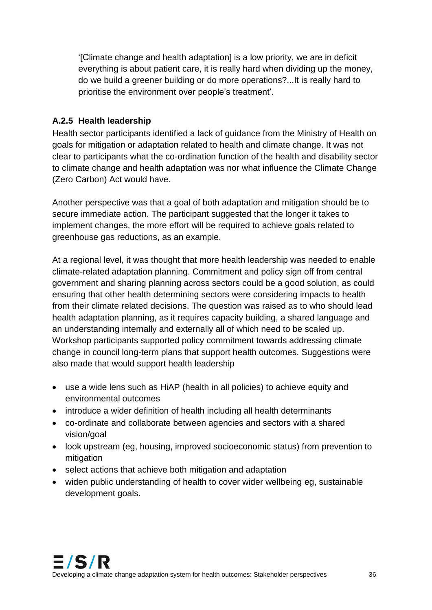'[Climate change and health adaptation] is a low priority, we are in deficit everything is about patient care, it is really hard when dividing up the money, do we build a greener building or do more operations?...It is really hard to prioritise the environment over people's treatment'.

### **A.2.5 Health leadership**

Health sector participants identified a lack of guidance from the Ministry of Health on goals for mitigation or adaptation related to health and climate change. It was not clear to participants what the co-ordination function of the health and disability sector to climate change and health adaptation was nor what influence the Climate Change (Zero Carbon) Act would have.

Another perspective was that a goal of both adaptation and mitigation should be to secure immediate action. The participant suggested that the longer it takes to implement changes, the more effort will be required to achieve goals related to greenhouse gas reductions, as an example.

At a regional level, it was thought that more health leadership was needed to enable climate-related adaptation planning. Commitment and policy sign off from central government and sharing planning across sectors could be a good solution, as could ensuring that other health determining sectors were considering impacts to health from their climate related decisions. The question was raised as to who should lead health adaptation planning, as it requires capacity building, a shared language and an understanding internally and externally all of which need to be scaled up. Workshop participants supported policy commitment towards addressing climate change in council long-term plans that support health outcomes. Suggestions were also made that would support health leadership

- use a wide lens such as HiAP (health in all policies) to achieve equity and environmental outcomes
- introduce a wider definition of health including all health determinants
- co-ordinate and collaborate between agencies and sectors with a shared vision/goal
- look upstream (eg, housing, improved socioeconomic status) from prevention to mitigation
- select actions that achieve both mitigation and adaptation
- widen public understanding of health to cover wider wellbeing eg, sustainable development goals.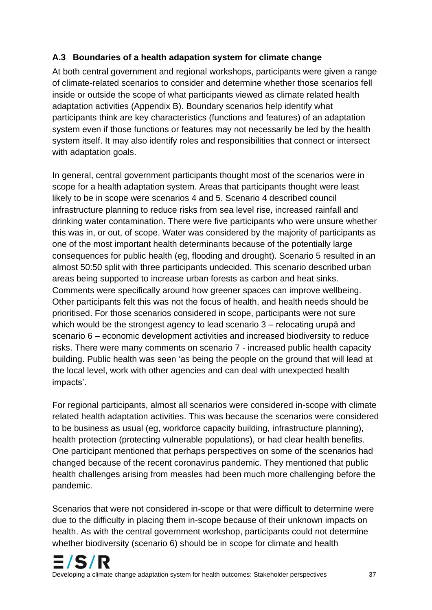## **A.3 Boundaries of a health adapation system for climate change**

At both central government and regional workshops, participants were given a range of climate-related scenarios to consider and determine whether those scenarios fell inside or outside the scope of what participants viewed as climate related health adaptation activities (Appendix B). Boundary scenarios help identify what participants think are key characteristics (functions and features) of an adaptation system even if those functions or features may not necessarily be led by the health system itself. It may also identify roles and responsibilities that connect or intersect with adaptation goals.

In general, central government participants thought most of the scenarios were in scope for a health adaptation system. Areas that participants thought were least likely to be in scope were scenarios 4 and 5. Scenario 4 described council infrastructure planning to reduce risks from sea level rise, increased rainfall and drinking water contamination. There were five participants who were unsure whether this was in, or out, of scope. Water was considered by the majority of participants as one of the most important health determinants because of the potentially large consequences for public health (eg, flooding and drought). Scenario 5 resulted in an almost 50:50 split with three participants undecided. This scenario described urban areas being supported to increase urban forests as carbon and heat sinks. Comments were specifically around how greener spaces can improve wellbeing. Other participants felt this was not the focus of health, and health needs should be prioritised. For those scenarios considered in scope, participants were not sure which would be the strongest agency to lead scenario 3 – relocating urupā and scenario 6 – economic development activities and increased biodiversity to reduce risks. There were many comments on scenario 7 - increased public health capacity building. Public health was seen 'as being the people on the ground that will lead at the local level, work with other agencies and can deal with unexpected health impacts'.

For regional participants, almost all scenarios were considered in-scope with climate related health adaptation activities. This was because the scenarios were considered to be business as usual (eg, workforce capacity building, infrastructure planning), health protection (protecting vulnerable populations), or had clear health benefits. One participant mentioned that perhaps perspectives on some of the scenarios had changed because of the recent coronavirus pandemic. They mentioned that public health challenges arising from measles had been much more challenging before the pandemic.

Scenarios that were not considered in-scope or that were difficult to determine were due to the difficulty in placing them in-scope because of their unknown impacts on health. As with the central government workshop, participants could not determine whether biodiversity (scenario 6) should be in scope for climate and health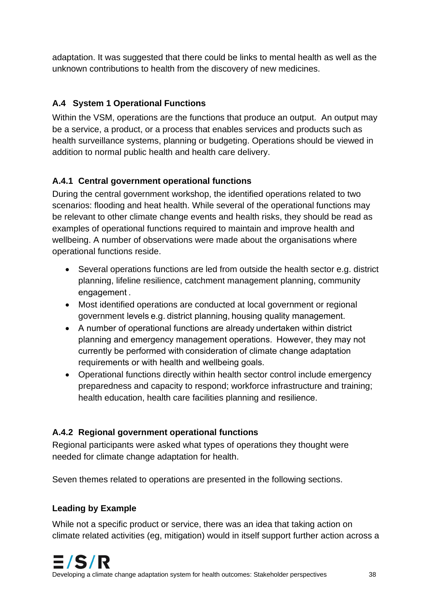adaptation. It was suggested that there could be links to mental health as well as the unknown contributions to health from the discovery of new medicines.

## **A.4 System 1 Operational Functions**

Within the VSM, operations are the functions that produce an output. An output may be a service, a product, or a process that enables services and products such as health surveillance systems, planning or budgeting. Operations should be viewed in addition to normal public health and health care delivery.

## **A.4.1 Central government operational functions**

During the central government workshop, the identified operations related to two scenarios: flooding and heat health. While several of the operational functions may be relevant to other climate change events and health risks, they should be read as examples of operational functions required to maintain and improve health and wellbeing. A number of observations were made about the organisations where operational functions reside.

- Several operations functions are led from outside the health sector e.g. district planning, lifeline resilience, catchment management planning, community engagement .
- Most identified operations are conducted at local government or regional government levels e.g. district planning, housing quality management.
- A number of operational functions are already undertaken within district planning and emergency management operations.  However, they may not currently be performed with consideration of climate change adaptation requirements or with health and wellbeing goals.
- Operational functions directly within health sector control include emergency preparedness and capacity to respond; workforce infrastructure and training; health education, health care facilities planning and resilience.

## **A.4.2 Regional government operational functions**

Regional participants were asked what types of operations they thought were needed for climate change adaptation for health.

Seven themes related to operations are presented in the following sections.

## **Leading by Example**

While not a specific product or service, there was an idea that taking action on climate related activities (eg, mitigation) would in itself support further action across a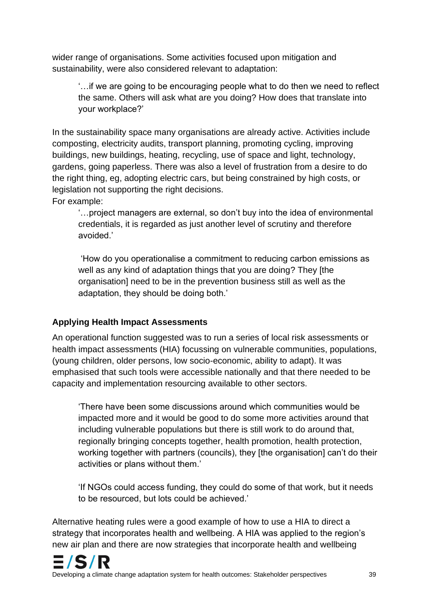wider range of organisations. Some activities focused upon mitigation and sustainability, were also considered relevant to adaptation:

'…if we are going to be encouraging people what to do then we need to reflect the same. Others will ask what are you doing? How does that translate into your workplace?'

In the sustainability space many organisations are already active. Activities include composting, electricity audits, transport planning, promoting cycling, improving buildings, new buildings, heating, recycling, use of space and light, technology, gardens, going paperless. There was also a level of frustration from a desire to do the right thing, eg, adopting electric cars, but being constrained by high costs, or legislation not supporting the right decisions.

For example:

'…project managers are external, so don't buy into the idea of environmental credentials, it is regarded as just another level of scrutiny and therefore avoided.'

'How do you operationalise a commitment to reducing carbon emissions as well as any kind of adaptation things that you are doing? They [the organisation] need to be in the prevention business still as well as the adaptation, they should be doing both.'

#### **Applying Health Impact Assessments**

An operational function suggested was to run a series of local risk assessments or health impact assessments (HIA) focussing on vulnerable communities, populations, (young children, older persons, low socio-economic, ability to adapt). It was emphasised that such tools were accessible nationally and that there needed to be capacity and implementation resourcing available to other sectors.

'There have been some discussions around which communities would be impacted more and it would be good to do some more activities around that including vulnerable populations but there is still work to do around that, regionally bringing concepts together, health promotion, health protection, working together with partners (councils), they [the organisation] can't do their activities or plans without them.'

'If NGOs could access funding, they could do some of that work, but it needs to be resourced, but lots could be achieved.'

Alternative heating rules were a good example of how to use a HIA to direct a strategy that incorporates health and wellbeing. A HIA was applied to the region's new air plan and there are now strategies that incorporate health and wellbeing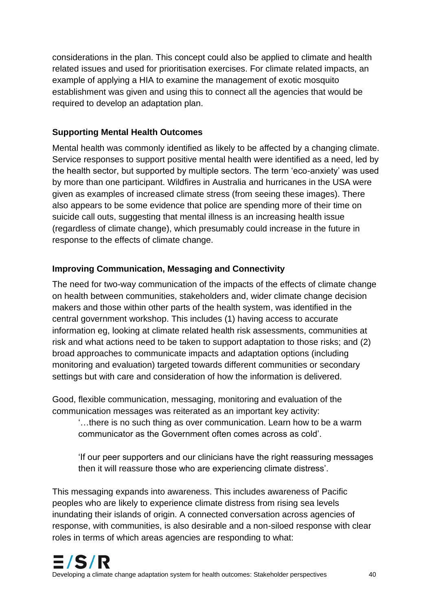considerations in the plan. This concept could also be applied to climate and health related issues and used for prioritisation exercises. For climate related impacts, an example of applying a HIA to examine the management of exotic mosquito establishment was given and using this to connect all the agencies that would be required to develop an adaptation plan.

### **Supporting Mental Health Outcomes**

Mental health was commonly identified as likely to be affected by a changing climate. Service responses to support positive mental health were identified as a need, led by the health sector, but supported by multiple sectors. The term 'eco-anxiety' was used by more than one participant. Wildfires in Australia and hurricanes in the USA were given as examples of increased climate stress (from seeing these images). There also appears to be some evidence that police are spending more of their time on suicide call outs, suggesting that mental illness is an increasing health issue (regardless of climate change), which presumably could increase in the future in response to the effects of climate change.

## **Improving Communication, Messaging and Connectivity**

The need for two-way communication of the impacts of the effects of climate change on health between communities, stakeholders and, wider climate change decision makers and those within other parts of the health system, was identified in the central government workshop. This includes (1) having access to accurate information eg, looking at climate related health risk assessments, communities at risk and what actions need to be taken to support adaptation to those risks; and (2) broad approaches to communicate impacts and adaptation options (including monitoring and evaluation) targeted towards different communities or secondary settings but with care and consideration of how the information is delivered.

Good, flexible communication, messaging, monitoring and evaluation of the communication messages was reiterated as an important key activity:

'…there is no such thing as over communication. Learn how to be a warm communicator as the Government often comes across as cold'.

'If our peer supporters and our clinicians have the right reassuring messages then it will reassure those who are experiencing climate distress'.

This messaging expands into awareness. This includes awareness of Pacific peoples who are likely to experience climate distress from rising sea levels inundating their islands of origin. A connected conversation across agencies of response, with communities, is also desirable and a non-siloed response with clear roles in terms of which areas agencies are responding to what: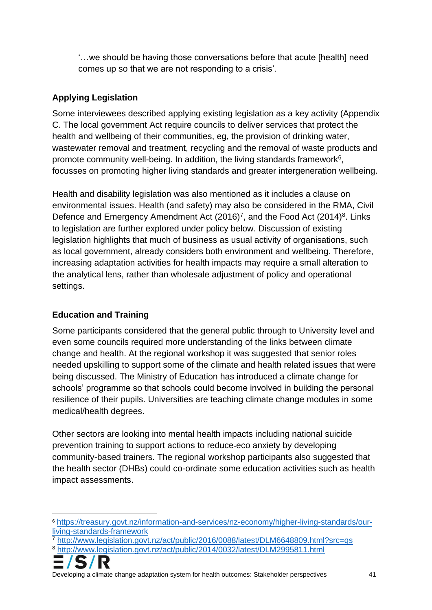'…we should be having those conversations before that acute [health] need comes up so that we are not responding to a crisis'.

## **Applying Legislation**

Some interviewees described applying existing legislation as a key activity (Appendix C. The local government Act require councils to deliver services that protect the health and wellbeing of their communities, eg, the provision of drinking water, wastewater removal and treatment, recycling and the removal of waste products and promote community well-being. In addition, the living standards framework $6$ , focusses on promoting higher living standards and greater intergeneration wellbeing.

Health and disability legislation was also mentioned as it includes a clause on environmental issues. Health (and safety) may also be considered in the RMA, Civil Defence and Emergency Amendment Act  $(2016)^7$ , and the Food Act  $(2014)^8$ . Links to legislation are further explored under policy below. Discussion of existing legislation highlights that much of business as usual activity of organisations, such as local government, already considers both environment and wellbeing. Therefore, increasing adaptation activities for health impacts may require a small alteration to the analytical lens, rather than wholesale adjustment of policy and operational settings.

## **Education and Training**

Some participants considered that the general public through to University level and even some councils required more understanding of the links between climate change and health. At the regional workshop it was suggested that senior roles needed upskilling to support some of the climate and health related issues that were being discussed. The Ministry of Education has introduced a climate change for schools' programme so that schools could become involved in building the personal resilience of their pupils. Universities are teaching climate change modules in some medical/health degrees.

Other sectors are looking into mental health impacts including national suicide prevention training to support actions to reduce eco anxiety by developing community-based trainers. The regional workshop participants also suggested that the health sector (DHBs) could co-ordinate some education activities such as health impact assessments.

<sup>7</sup> <http://www.legislation.govt.nz/act/public/2016/0088/latest/DLM6648809.html?src=qs> <sup>8</sup> <http://www.legislation.govt.nz/act/public/2014/0032/latest/DLM2995811.html>



Developing a climate change adaptation system for health outcomes: Stakeholder perspectives 41

<sup>6</sup> [https://treasury.govt.nz/information-and-services/nz-economy/higher-living-standards/our](https://treasury.govt.nz/information-and-services/nz-economy/higher-living-standards/our-living-standards-framework)[living-standards-framework](https://treasury.govt.nz/information-and-services/nz-economy/higher-living-standards/our-living-standards-framework)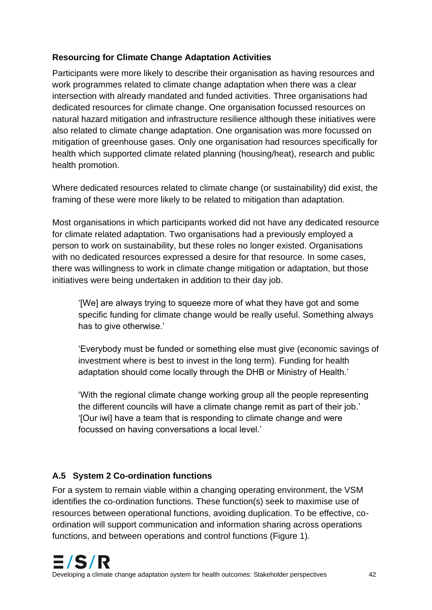## **Resourcing for Climate Change Adaptation Activities**

Participants were more likely to describe their organisation as having resources and work programmes related to climate change adaptation when there was a clear intersection with already mandated and funded activities. Three organisations had dedicated resources for climate change. One organisation focussed resources on natural hazard mitigation and infrastructure resilience although these initiatives were also related to climate change adaptation. One organisation was more focussed on mitigation of greenhouse gases. Only one organisation had resources specifically for health which supported climate related planning (housing/heat), research and public health promotion.

Where dedicated resources related to climate change (or sustainability) did exist, the framing of these were more likely to be related to mitigation than adaptation.

Most organisations in which participants worked did not have any dedicated resource for climate related adaptation. Two organisations had a previously employed a person to work on sustainability, but these roles no longer existed. Organisations with no dedicated resources expressed a desire for that resource. In some cases, there was willingness to work in climate change mitigation or adaptation, but those initiatives were being undertaken in addition to their day job.

'[We] are always trying to squeeze more of what they have got and some specific funding for climate change would be really useful. Something always has to give otherwise.'

'Everybody must be funded or something else must give (economic savings of investment where is best to invest in the long term). Funding for health adaptation should come locally through the DHB or Ministry of Health.'

'With the regional climate change working group all the people representing the different councils will have a climate change remit as part of their job.' '[Our iwi] have a team that is responding to climate change and were focussed on having conversations a local level.'

## **A.5 System 2 Co-ordination functions**

For a system to remain viable within a changing operating environment, the VSM identifies the co-ordination functions. These function(s) seek to maximise use of resources between operational functions, avoiding duplication. To be effective, coordination will support communication and information sharing across operations functions, and between operations and control functions (Figure 1).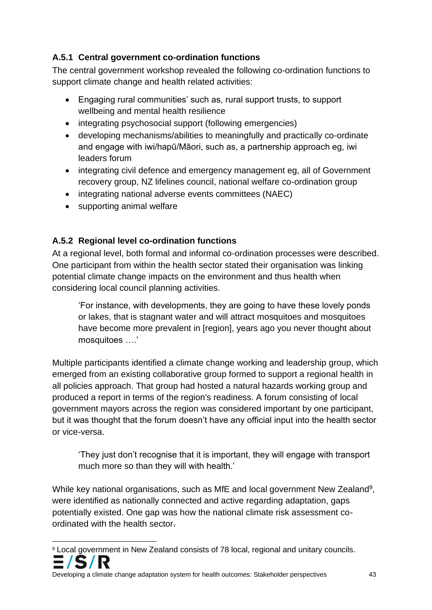## **A.5.1 Central government co-ordination functions**

The central government workshop revealed the following co-ordination functions to support climate change and health related activities:

- Engaging rural communities' such as, rural support trusts, to support wellbeing and mental health resilience
- integrating psychosocial support (following emergencies)
- developing mechanisms/abilities to meaningfully and practically co-ordinate and engage with iwi/hapū/Māori, such as, a partnership approach eg, iwi leaders forum
- integrating civil defence and emergency management eg, all of Government recovery group, NZ lifelines council, national welfare co-ordination group
- integrating national adverse events committees (NAEC)
- supporting animal welfare

## **A.5.2 Regional level co-ordination functions**

At a regional level, both formal and informal co-ordination processes were described. One participant from within the health sector stated their organisation was linking potential climate change impacts on the environment and thus health when considering local council planning activities.

'For instance, with developments, they are going to have these lovely ponds or lakes, that is stagnant water and will attract mosquitoes and mosquitoes have become more prevalent in [region], years ago you never thought about mosquitoes ….'

Multiple participants identified a climate change working and leadership group, which emerged from an existing collaborative group formed to support a regional health in all policies approach. That group had hosted a natural hazards working group and produced a report in terms of the region's readiness. A forum consisting of local government mayors across the region was considered important by one participant, but it was thought that the forum doesn't have any official input into the health sector or vice-versa.

'They just don't recognise that it is important, they will engage with transport much more so than they will with health.'

While key national organisations, such as MfE and local government New Zealand<sup>9</sup>, were identified as nationally connected and active regarding adaptation, gaps potentially existed. One gap was how the national climate risk assessment coordinated with the health sector.

<sup>9</sup> Local government in New Zealand consists of 78 local, regional and unitary councils.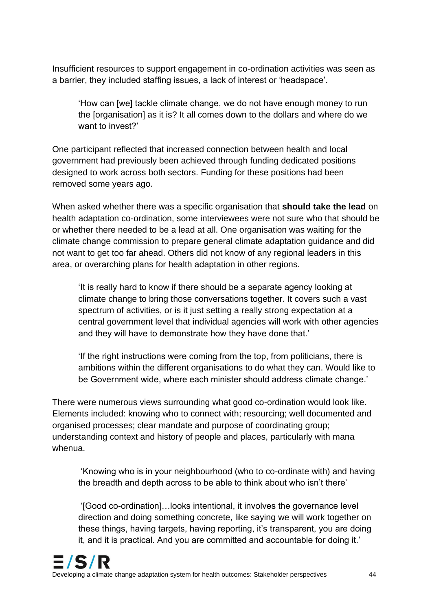Insufficient resources to support engagement in co-ordination activities was seen as a barrier, they included staffing issues, a lack of interest or 'headspace'.

'How can [we] tackle climate change, we do not have enough money to run the [organisation] as it is? It all comes down to the dollars and where do we want to invest?'

One participant reflected that increased connection between health and local government had previously been achieved through funding dedicated positions designed to work across both sectors. Funding for these positions had been removed some years ago.

When asked whether there was a specific organisation that **should take the lead** on health adaptation co-ordination, some interviewees were not sure who that should be or whether there needed to be a lead at all. One organisation was waiting for the climate change commission to prepare general climate adaptation guidance and did not want to get too far ahead. Others did not know of any regional leaders in this area, or overarching plans for health adaptation in other regions.

'It is really hard to know if there should be a separate agency looking at climate change to bring those conversations together. It covers such a vast spectrum of activities, or is it just setting a really strong expectation at a central government level that individual agencies will work with other agencies and they will have to demonstrate how they have done that.'

'If the right instructions were coming from the top, from politicians, there is ambitions within the different organisations to do what they can. Would like to be Government wide, where each minister should address climate change.'

There were numerous views surrounding what good co-ordination would look like. Elements included: knowing who to connect with; resourcing; well documented and organised processes; clear mandate and purpose of coordinating group; understanding context and history of people and places, particularly with mana whenua.

'Knowing who is in your neighbourhood (who to co-ordinate with) and having the breadth and depth across to be able to think about who isn't there'

'[Good co-ordination]…looks intentional, it involves the governance level direction and doing something concrete, like saying we will work together on these things, having targets, having reporting, it's transparent, you are doing it, and it is practical. And you are committed and accountable for doing it.'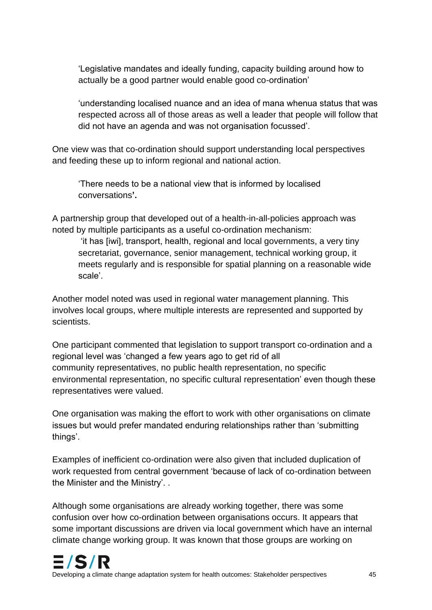'Legislative mandates and ideally funding, capacity building around how to actually be a good partner would enable good co-ordination'

'understanding localised nuance and an idea of mana whenua status that was respected across all of those areas as well a leader that people will follow that did not have an agenda and was not organisation focussed'.

One view was that co-ordination should support understanding local perspectives and feeding these up to inform regional and national action.

'There needs to be a national view that is informed by localised conversations**'.** 

A partnership group that developed out of a health-in-all-policies approach was noted by multiple participants as a useful co-ordination mechanism:

'it has [iwi], transport, health, regional and local governments, a very tiny secretariat, governance, senior management, technical working group, it meets regularly and is responsible for spatial planning on a reasonable wide scale'.

Another model noted was used in regional water management planning. This involves local groups, where multiple interests are represented and supported by scientists.

One participant commented that legislation to support transport co-ordination and a regional level was 'changed a few years ago to get rid of all community representatives, no public health representation, no specific environmental representation, no specific cultural representation' even though these representatives were valued.

One organisation was making the effort to work with other organisations on climate issues but would prefer mandated enduring relationships rather than 'submitting things'.

Examples of inefficient co-ordination were also given that included duplication of work requested from central government 'because of lack of co-ordination between the Minister and the Ministry'. .

Although some organisations are already working together, there was some confusion over how co-ordination between organisations occurs. It appears that some important discussions are driven via local government which have an internal climate change working group. It was known that those groups are working on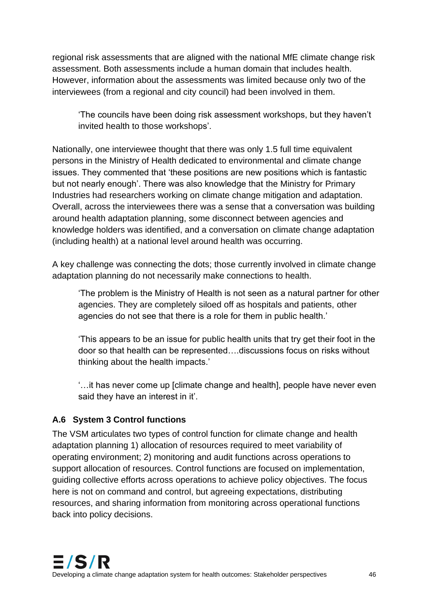regional risk assessments that are aligned with the national MfE climate change risk assessment. Both assessments include a human domain that includes health. However, information about the assessments was limited because only two of the interviewees (from a regional and city council) had been involved in them.

'The councils have been doing risk assessment workshops, but they haven't invited health to those workshops'.

Nationally, one interviewee thought that there was only 1.5 full time equivalent persons in the Ministry of Health dedicated to environmental and climate change issues. They commented that 'these positions are new positions which is fantastic but not nearly enough'. There was also knowledge that the Ministry for Primary Industries had researchers working on climate change mitigation and adaptation. Overall, across the interviewees there was a sense that a conversation was building around health adaptation planning, some disconnect between agencies and knowledge holders was identified, and a conversation on climate change adaptation (including health) at a national level around health was occurring.

A key challenge was connecting the dots; those currently involved in climate change adaptation planning do not necessarily make connections to health.

'The problem is the Ministry of Health is not seen as a natural partner for other agencies. They are completely siloed off as hospitals and patients, other agencies do not see that there is a role for them in public health.'

'This appears to be an issue for public health units that try get their foot in the door so that health can be represented….discussions focus on risks without thinking about the health impacts.'

'…it has never come up [climate change and health], people have never even said they have an interest in it'.

## **A.6 System 3 Control functions**

The VSM articulates two types of control function for climate change and health adaptation planning 1) allocation of resources required to meet variability of operating environment; 2) monitoring and audit functions across operations to support allocation of resources. Control functions are focused on implementation, guiding collective efforts across operations to achieve policy objectives. The focus here is not on command and control, but agreeing expectations, distributing resources, and sharing information from monitoring across operational functions back into policy decisions.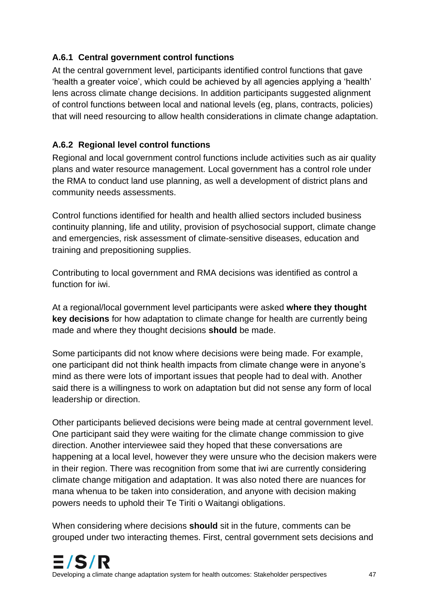## **A.6.1 Central government control functions**

At the central government level, participants identified control functions that gave 'health a greater voice', which could be achieved by all agencies applying a 'health' lens across climate change decisions. In addition participants suggested alignment of control functions between local and national levels (eg, plans, contracts, policies) that will need resourcing to allow health considerations in climate change adaptation.

## **A.6.2 Regional level control functions**

Regional and local government control functions include activities such as air quality plans and water resource management. Local government has a control role under the RMA to conduct land use planning, as well a development of district plans and community needs assessments.

Control functions identified for health and health allied sectors included business continuity planning, life and utility, provision of psychosocial support, climate change and emergencies, risk assessment of climate-sensitive diseases, education and training and prepositioning supplies.

Contributing to local government and RMA decisions was identified as control a function for iwi.

At a regional/local government level participants were asked **where they thought key decisions** for how adaptation to climate change for health are currently being made and where they thought decisions **should** be made.

Some participants did not know where decisions were being made. For example, one participant did not think health impacts from climate change were in anyone's mind as there were lots of important issues that people had to deal with. Another said there is a willingness to work on adaptation but did not sense any form of local leadership or direction.

Other participants believed decisions were being made at central government level. One participant said they were waiting for the climate change commission to give direction. Another interviewee said they hoped that these conversations are happening at a local level, however they were unsure who the decision makers were in their region. There was recognition from some that iwi are currently considering climate change mitigation and adaptation. It was also noted there are nuances for mana whenua to be taken into consideration, and anyone with decision making powers needs to uphold their Te Tiriti o Waitangi obligations.

When considering where decisions **should** sit in the future, comments can be grouped under two interacting themes. First, central government sets decisions and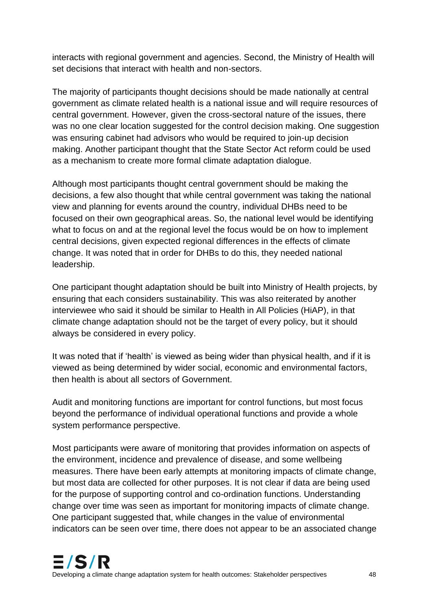interacts with regional government and agencies. Second, the Ministry of Health will set decisions that interact with health and non-sectors.

The majority of participants thought decisions should be made nationally at central government as climate related health is a national issue and will require resources of central government. However, given the cross-sectoral nature of the issues, there was no one clear location suggested for the control decision making. One suggestion was ensuring cabinet had advisors who would be required to join-up decision making. Another participant thought that the State Sector Act reform could be used as a mechanism to create more formal climate adaptation dialogue.

Although most participants thought central government should be making the decisions, a few also thought that while central government was taking the national view and planning for events around the country, individual DHBs need to be focused on their own geographical areas. So, the national level would be identifying what to focus on and at the regional level the focus would be on how to implement central decisions, given expected regional differences in the effects of climate change. It was noted that in order for DHBs to do this, they needed national leadership.

One participant thought adaptation should be built into Ministry of Health projects, by ensuring that each considers sustainability. This was also reiterated by another interviewee who said it should be similar to Health in All Policies (HiAP), in that climate change adaptation should not be the target of every policy, but it should always be considered in every policy.

It was noted that if 'health' is viewed as being wider than physical health, and if it is viewed as being determined by wider social, economic and environmental factors, then health is about all sectors of Government.

Audit and monitoring functions are important for control functions, but most focus beyond the performance of individual operational functions and provide a whole system performance perspective.

Most participants were aware of monitoring that provides information on aspects of the environment, incidence and prevalence of disease, and some wellbeing measures. There have been early attempts at monitoring impacts of climate change, but most data are collected for other purposes. It is not clear if data are being used for the purpose of supporting control and co-ordination functions. Understanding change over time was seen as important for monitoring impacts of climate change. One participant suggested that, while changes in the value of environmental indicators can be seen over time, there does not appear to be an associated change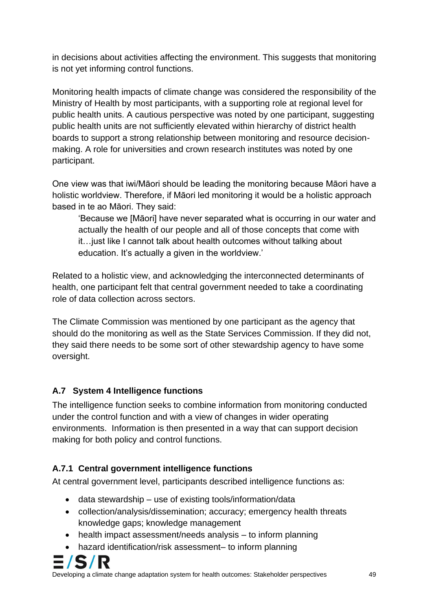in decisions about activities affecting the environment. This suggests that monitoring is not yet informing control functions.

Monitoring health impacts of climate change was considered the responsibility of the Ministry of Health by most participants, with a supporting role at regional level for public health units. A cautious perspective was noted by one participant, suggesting public health units are not sufficiently elevated within hierarchy of district health boards to support a strong relationship between monitoring and resource decisionmaking. A role for universities and crown research institutes was noted by one participant.

One view was that iwi/Māori should be leading the monitoring because Māori have a holistic worldview. Therefore, if Māori led monitoring it would be a holistic approach based in te ao Māori. They said:

'Because we [Māori] have never separated what is occurring in our water and actually the health of our people and all of those concepts that come with it…just like I cannot talk about health outcomes without talking about education. It's actually a given in the worldview.'

Related to a holistic view, and acknowledging the interconnected determinants of health, one participant felt that central government needed to take a coordinating role of data collection across sectors.

The Climate Commission was mentioned by one participant as the agency that should do the monitoring as well as the State Services Commission. If they did not, they said there needs to be some sort of other stewardship agency to have some oversight.

## **A.7 System 4 Intelligence functions**

The intelligence function seeks to combine information from monitoring conducted under the control function and with a view of changes in wider operating environments. Information is then presented in a way that can support decision making for both policy and control functions.

## **A.7.1 Central government intelligence functions**

At central government level, participants described intelligence functions as:

- data stewardship use of existing tools/information/data
- collection/analysis/dissemination; accuracy; emergency health threats knowledge gaps; knowledge management
- health impact assessment/needs analysis to inform planning
- hazard identification/risk assessment– to inform planning

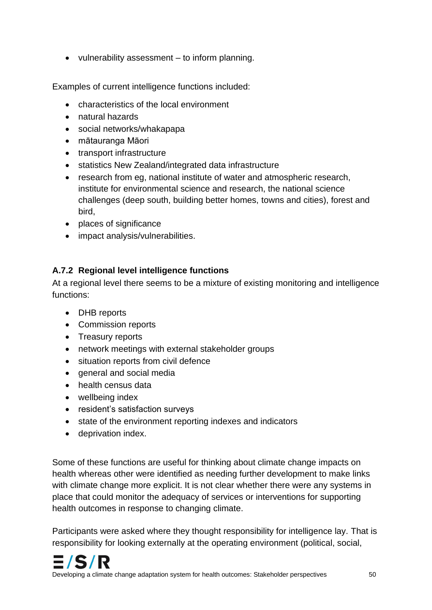• vulnerability assessment – to inform planning.

Examples of current intelligence functions included:

- characteristics of the local environment
- natural hazards
- social networks/whakapapa
- mātauranga Māori
- transport infrastructure
- statistics New Zealand/integrated data infrastructure
- research from eg, national institute of water and atmospheric research, institute for environmental science and research, the national science challenges (deep south, building better homes, towns and cities), forest and bird,
- places of significance
- impact analysis/vulnerabilities.

## **A.7.2 Regional level intelligence functions**

At a regional level there seems to be a mixture of existing monitoring and intelligence functions:

- DHB reports
- Commission reports
- Treasury reports
- network meetings with external stakeholder groups
- situation reports from civil defence
- general and social media
- health census data
- wellbeing index
- resident's satisfaction surveys
- state of the environment reporting indexes and indicators
- deprivation index.

Some of these functions are useful for thinking about climate change impacts on health whereas other were identified as needing further development to make links with climate change more explicit. It is not clear whether there were any systems in place that could monitor the adequacy of services or interventions for supporting health outcomes in response to changing climate.

Participants were asked where they thought responsibility for intelligence lay. That is responsibility for looking externally at the operating environment (political, social,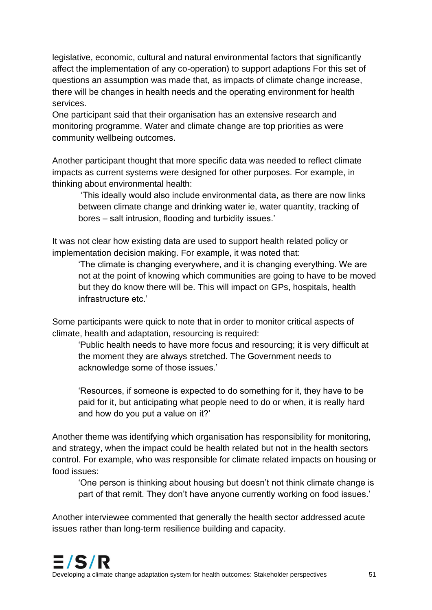legislative, economic, cultural and natural environmental factors that significantly affect the implementation of any co-operation) to support adaptions For this set of questions an assumption was made that, as impacts of climate change increase, there will be changes in health needs and the operating environment for health services.

One participant said that their organisation has an extensive research and monitoring programme. Water and climate change are top priorities as were community wellbeing outcomes.

Another participant thought that more specific data was needed to reflect climate impacts as current systems were designed for other purposes. For example, in thinking about environmental health:

'This ideally would also include environmental data, as there are now links between climate change and drinking water ie, water quantity, tracking of bores – salt intrusion, flooding and turbidity issues.'

It was not clear how existing data are used to support health related policy or implementation decision making. For example, it was noted that:

'The climate is changing everywhere, and it is changing everything. We are not at the point of knowing which communities are going to have to be moved but they do know there will be. This will impact on GPs, hospitals, health infrastructure etc.'

Some participants were quick to note that in order to monitor critical aspects of climate, health and adaptation, resourcing is required:

'Public health needs to have more focus and resourcing; it is very difficult at the moment they are always stretched. The Government needs to acknowledge some of those issues.'

'Resources, if someone is expected to do something for it, they have to be paid for it, but anticipating what people need to do or when, it is really hard and how do you put a value on it?'

Another theme was identifying which organisation has responsibility for monitoring, and strategy, when the impact could be health related but not in the health sectors control. For example, who was responsible for climate related impacts on housing or food issues:

'One person is thinking about housing but doesn't not think climate change is part of that remit. They don't have anyone currently working on food issues.'

Another interviewee commented that generally the health sector addressed acute issues rather than long-term resilience building and capacity.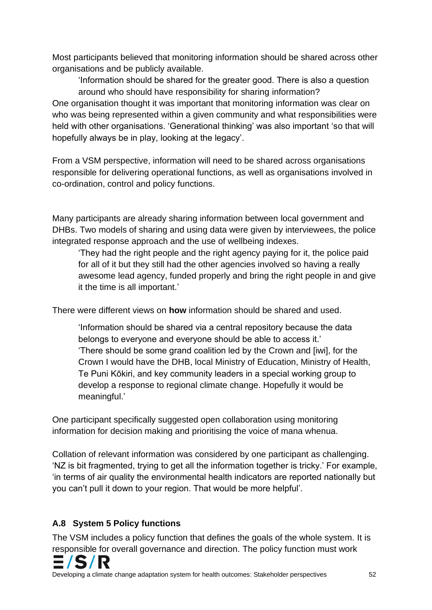Most participants believed that monitoring information should be shared across other organisations and be publicly available.

'Information should be shared for the greater good. There is also a question around who should have responsibility for sharing information? One organisation thought it was important that monitoring information was clear on who was being represented within a given community and what responsibilities were held with other organisations. 'Generational thinking' was also important 'so that will hopefully always be in play, looking at the legacy'.

From a VSM perspective, information will need to be shared across organisations responsible for delivering operational functions, as well as organisations involved in co-ordination, control and policy functions.

Many participants are already sharing information between local government and DHBs. Two models of sharing and using data were given by interviewees, the police integrated response approach and the use of wellbeing indexes.

'They had the right people and the right agency paying for it, the police paid for all of it but they still had the other agencies involved so having a really awesome lead agency, funded properly and bring the right people in and give it the time is all important.'

There were different views on **how** information should be shared and used.

'Information should be shared via a central repository because the data belongs to everyone and everyone should be able to access it.' 'There should be some grand coalition led by the Crown and [iwi], for the Crown I would have the DHB, local Ministry of Education, Ministry of Health, Te Puni Kōkiri, and key community leaders in a special working group to develop a response to regional climate change. Hopefully it would be meaningful.'

One participant specifically suggested open collaboration using monitoring information for decision making and prioritising the voice of mana whenua.

Collation of relevant information was considered by one participant as challenging. 'NZ is bit fragmented, trying to get all the information together is tricky.' For example, 'in terms of air quality the environmental health indicators are reported nationally but you can't pull it down to your region. That would be more helpful'.

## **A.8 System 5 Policy functions**

The VSM includes a policy function that defines the goals of the whole system. It is responsible for overall governance and direction. The policy function must work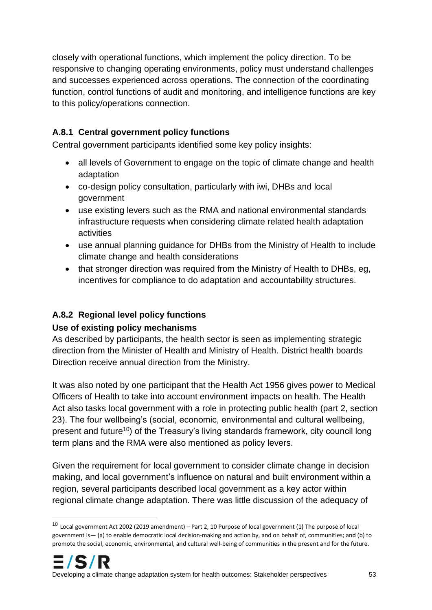closely with operational functions, which implement the policy direction. To be responsive to changing operating environments, policy must understand challenges and successes experienced across operations. The connection of the coordinating function, control functions of audit and monitoring, and intelligence functions are key to this policy/operations connection.

## **A.8.1 Central government policy functions**

Central government participants identified some key policy insights:

- all levels of Government to engage on the topic of climate change and health adaptation
- co-design policy consultation, particularly with iwi, DHBs and local government
- use existing levers such as the RMA and national environmental standards infrastructure requests when considering climate related health adaptation activities
- use annual planning guidance for DHBs from the Ministry of Health to include climate change and health considerations
- that stronger direction was required from the Ministry of Health to DHBs, eg. incentives for compliance to do adaptation and accountability structures.

## **A.8.2 Regional level policy functions**

## **Use of existing policy mechanisms**

As described by participants, the health sector is seen as implementing strategic direction from the Minister of Health and Ministry of Health. District health boards Direction receive annual direction from the Ministry.

It was also noted by one participant that the Health Act 1956 gives power to Medical Officers of Health to take into account environment impacts on health. The Health Act also tasks local government with a role in protecting public health (part 2, section 23). The four wellbeing's (social, economic, environmental and cultural wellbeing, present and future<sup>10</sup>) of the Treasury's living standards framework, city council long term plans and the RMA were also mentioned as policy levers.

Given the requirement for local government to consider climate change in decision making, and local government's influence on natural and built environment within a region, several participants described local government as a key actor within regional climate change adaptation. There was little discussion of the adequacy of

<sup>10</sup> Local government Act 2002 (2019 amendment) – Part 2, 10 Purpose of local government (1) The purpose of local government is— (a) to enable democratic local decision-making and action by, and on behalf of, communities; and (b) to promote the social, economic, environmental, and cultural well-being of communities in the present and for the future.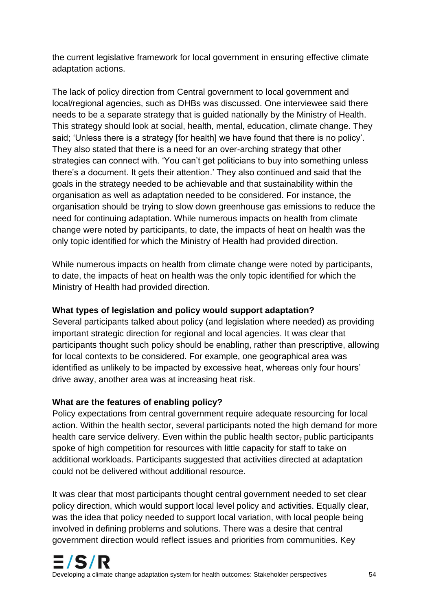the current legislative framework for local government in ensuring effective climate adaptation actions.

The lack of policy direction from Central government to local government and local/regional agencies, such as DHBs was discussed. One interviewee said there needs to be a separate strategy that is guided nationally by the Ministry of Health. This strategy should look at social, health, mental, education, climate change. They said; 'Unless there is a strategy [for health] we have found that there is no policy'. They also stated that there is a need for an over-arching strategy that other strategies can connect with. 'You can't get politicians to buy into something unless there's a document. It gets their attention.' They also continued and said that the goals in the strategy needed to be achievable and that sustainability within the organisation as well as adaptation needed to be considered. For instance, the organisation should be trying to slow down greenhouse gas emissions to reduce the need for continuing adaptation. While numerous impacts on health from climate change were noted by participants, to date, the impacts of heat on health was the only topic identified for which the Ministry of Health had provided direction.

While numerous impacts on health from climate change were noted by participants, to date, the impacts of heat on health was the only topic identified for which the Ministry of Health had provided direction.

### **What types of legislation and policy would support adaptation?**

Several participants talked about policy (and legislation where needed) as providing important strategic direction for regional and local agencies. It was clear that participants thought such policy should be enabling, rather than prescriptive, allowing for local contexts to be considered. For example, one geographical area was identified as unlikely to be impacted by excessive heat, whereas only four hours' drive away, another area was at increasing heat risk.

#### **What are the features of enabling policy?**

Policy expectations from central government require adequate resourcing for local action. Within the health sector, several participants noted the high demand for more health care service delivery. Even within the public health sector-public participants spoke of high competition for resources with little capacity for staff to take on additional workloads. Participants suggested that activities directed at adaptation could not be delivered without additional resource.

It was clear that most participants thought central government needed to set clear policy direction, which would support local level policy and activities. Equally clear, was the idea that policy needed to support local variation, with local people being involved in defining problems and solutions. There was a desire that central government direction would reflect issues and priorities from communities. Key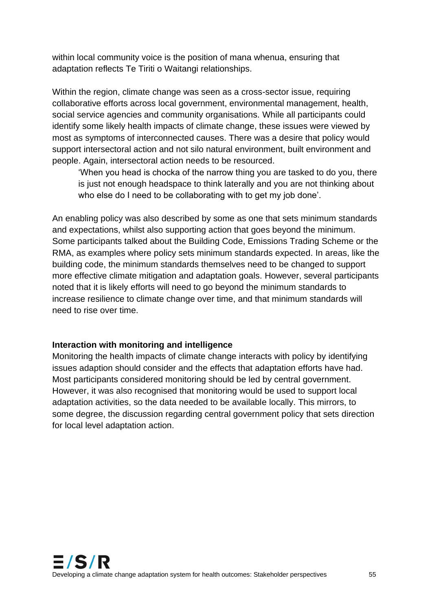within local community voice is the position of mana whenua, ensuring that adaptation reflects Te Tiriti o Waitangi relationships.

Within the region, climate change was seen as a cross-sector issue, requiring collaborative efforts across local government, environmental management, health, social service agencies and community organisations. While all participants could identify some likely health impacts of climate change, these issues were viewed by most as symptoms of interconnected causes. There was a desire that policy would support intersectoral action and not silo natural environment, built environment and people. Again, intersectoral action needs to be resourced.

'When you head is chocka of the narrow thing you are tasked to do you, there is just not enough headspace to think laterally and you are not thinking about who else do I need to be collaborating with to get my job done'.

An enabling policy was also described by some as one that sets minimum standards and expectations, whilst also supporting action that goes beyond the minimum. Some participants talked about the Building Code, Emissions Trading Scheme or the RMA, as examples where policy sets minimum standards expected. In areas, like the building code, the minimum standards themselves need to be changed to support more effective climate mitigation and adaptation goals. However, several participants noted that it is likely efforts will need to go beyond the minimum standards to increase resilience to climate change over time, and that minimum standards will need to rise over time.

#### **Interaction with monitoring and intelligence**

Monitoring the health impacts of climate change interacts with policy by identifying issues adaption should consider and the effects that adaptation efforts have had. Most participants considered monitoring should be led by central government. However, it was also recognised that monitoring would be used to support local adaptation activities, so the data needed to be available locally. This mirrors, to some degree, the discussion regarding central government policy that sets direction for local level adaptation action.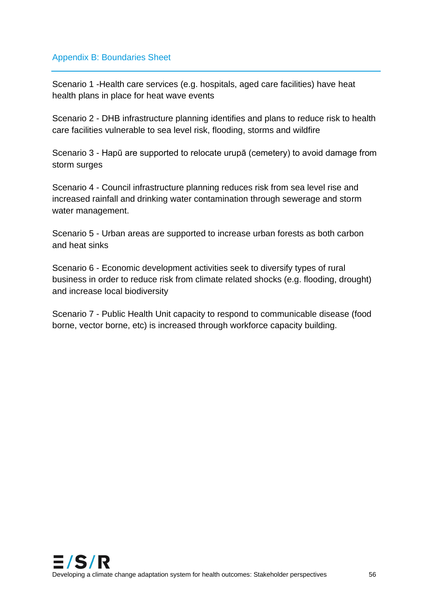#### Appendix B: Boundaries Sheet

Scenario 1 -Health care services (e.g. hospitals, aged care facilities) have heat health plans in place for heat wave events

Scenario 2 - DHB infrastructure planning identifies and plans to reduce risk to health care facilities vulnerable to sea level risk, flooding, storms and wildfire

Scenario 3 - Hapū are supported to relocate urupā (cemetery) to avoid damage from storm surges

Scenario 4 - Council infrastructure planning reduces risk from sea level rise and increased rainfall and drinking water contamination through sewerage and storm water management.

Scenario 5 - Urban areas are supported to increase urban forests as both carbon and heat sinks

Scenario 6 - Economic development activities seek to diversify types of rural business in order to reduce risk from climate related shocks (e.g. flooding, drought) and increase local biodiversity

Scenario 7 - Public Health Unit capacity to respond to communicable disease (food borne, vector borne, etc) is increased through workforce capacity building.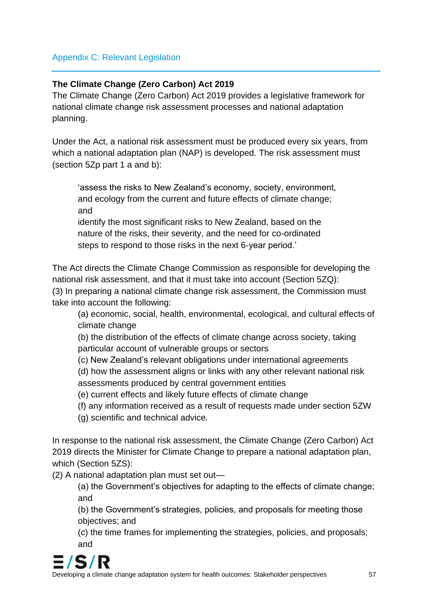### Appendix C: Relevant Legislation

#### **The Climate Change (Zero Carbon) Act 2019**

The Climate Change (Zero Carbon) Act 2019 provides a legislative framework for national climate change risk assessment processes and national adaptation planning.

Under the Act, a national risk assessment must be produced every six years, from which a national adaptation plan (NAP) is developed. The risk assessment must (section 5Zp part 1 a and b):

'assess the risks to New Zealand's economy, society, environment, and ecology from the current and future effects of climate change; and

identify the most significant risks to New Zealand, based on the nature of the risks, their severity, and the need for co-ordinated steps to respond to those risks in the next 6-year period.'

The Act directs the Climate Change Commission as responsible for developing the national risk assessment, and that it must take into account (Section 5ZQ): (3) In preparing a national climate change risk assessment, the Commission must take into account the following:

(a) economic, social, health, environmental, ecological, and cultural effects of climate change

(b) the distribution of the effects of climate change across society, taking particular account of vulnerable groups or sectors

(c) New Zealand's relevant obligations under international agreements

(d) how the assessment aligns or links with any other relevant national risk assessments produced by central government entities

(e) current effects and likely future effects of climate change

(f) any information received as a result of requests made under section 5ZW

(g) scientific and technical advice.

In response to the national risk assessment, the Climate Change (Zero Carbon) Act 2019 directs the Minister for Climate Change to prepare a national adaptation plan, which (Section 5ZS):

(2) A national adaptation plan must set out—

(a) the Government's objectives for adapting to the effects of climate change; and

(b) the Government's strategies, policies, and proposals for meeting those objectives; and

(c) the time frames for implementing the strategies, policies, and proposals; and

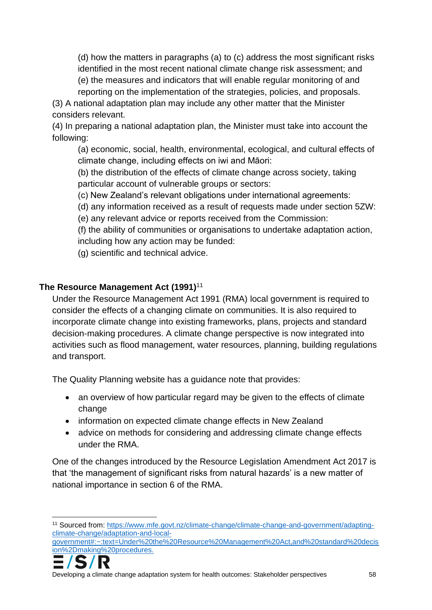(d) how the matters in paragraphs (a) to (c) address the most significant risks identified in the most recent national climate change risk assessment; and (e) the measures and indicators that will enable regular monitoring of and

reporting on the implementation of the strategies, policies, and proposals.

(3) A national adaptation plan may include any other matter that the Minister considers relevant.

(4) In preparing a national adaptation plan, the Minister must take into account the following:

(a) economic, social, health, environmental, ecological, and cultural effects of climate change, including effects on iwi and Māori:

(b) the distribution of the effects of climate change across society, taking particular account of vulnerable groups or sectors:

(c) New Zealand's relevant obligations under international agreements:

(d) any information received as a result of requests made under section 5ZW:

(e) any relevant advice or reports received from the Commission:

(f) the ability of communities or organisations to undertake adaptation action, including how any action may be funded:

(g) scientific and technical advice.

## **The Resource Management Act (1991)**<sup>11</sup>

Under the Resource Management Act 1991 (RMA) local government is required to consider the effects of a changing climate on communities. It is also required to incorporate climate change into existing frameworks, plans, projects and standard decision-making procedures. A climate change perspective is now integrated into activities such as flood management, water resources, planning, building regulations and transport.

The Quality Planning website has a guidance note that provides:

- an overview of how particular regard may be given to the effects of climate change
- information on expected climate change effects in New Zealand
- advice on methods for considering and addressing climate change effects under the RMA.

One of the changes introduced by the Resource Legislation Amendment Act 2017 is that 'the management of significant risks from natural hazards' is a new matter of national importance in section 6 of the RMA.

[government#:~:text=Under%20the%20Resource%20Management%20Act,and%20standard%20decis](https://www.mfe.govt.nz/climate-change/climate-change-and-government/adapting-climate-change/adaptation-and-local-government#:~:text=Under%20the%20Resource%20Management%20Act,and%20standard%20decision%2Dmaking%20procedures.) [ion%2Dmaking%20procedures.](https://www.mfe.govt.nz/climate-change/climate-change-and-government/adapting-climate-change/adaptation-and-local-government#:~:text=Under%20the%20Resource%20Management%20Act,and%20standard%20decision%2Dmaking%20procedures.)



<sup>11</sup> Sourced from: [https://www.mfe.govt.nz/climate-change/climate-change-and-government/adapting](https://www.mfe.govt.nz/climate-change/climate-change-and-government/adapting-climate-change/adaptation-and-local-government#:~:text=Under%20the%20Resource%20Management%20Act,and%20standard%20decision%2Dmaking%20procedures.)[climate-change/adaptation-and-local-](https://www.mfe.govt.nz/climate-change/climate-change-and-government/adapting-climate-change/adaptation-and-local-government#:~:text=Under%20the%20Resource%20Management%20Act,and%20standard%20decision%2Dmaking%20procedures.)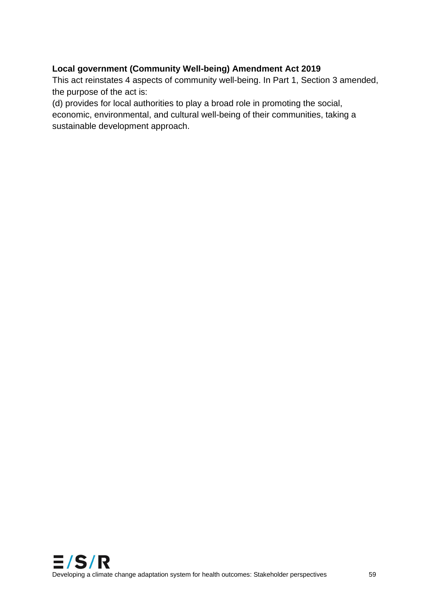## **Local government (Community Well-being) Amendment Act 2019**

This act reinstates 4 aspects of community well-being. In Part 1, Section 3 amended, the purpose of the act is:

(d) provides for local authorities to play a broad role in promoting the social, economic, environmental, and cultural well-being of their communities, taking a sustainable development approach.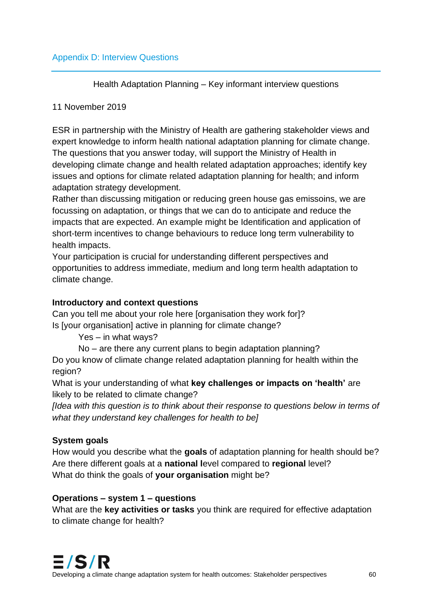Health Adaptation Planning – Key informant interview questions

#### 11 November 2019

ESR in partnership with the Ministry of Health are gathering stakeholder views and expert knowledge to inform health national adaptation planning for climate change. The questions that you answer today, will support the Ministry of Health in developing climate change and health related adaptation approaches; identify key issues and options for climate related adaptation planning for health; and inform adaptation strategy development.

Rather than discussing mitigation or reducing green house gas emissoins, we are focussing on adaptation, or things that we can do to anticipate and reduce the impacts that are expected. An example might be Identification and application of short-term incentives to change behaviours to reduce long term vulnerability to health impacts.

Your participation is crucial for understanding different perspectives and opportunities to address immediate, medium and long term health adaptation to climate change.

#### **Introductory and context questions**

Can you tell me about your role here [organisation they work for]? Is [your organisation] active in planning for climate change?

Yes – in what ways?

No – are there any current plans to begin adaptation planning?

Do you know of climate change related adaptation planning for health within the region?

What is your understanding of what **key challenges or impacts on 'health'** are likely to be related to climate change?

*[Idea with this question is to think about their response to questions below in terms of what they understand key challenges for health to be]*

## **System goals**

How would you describe what the **goals** of adaptation planning for health should be? Are there different goals at a **national l**evel compared to **regional** level? What do think the goals of **your organisation** might be?

#### **Operations – system 1 – questions**

What are the **key activities or tasks** you think are required for effective adaptation to climate change for health?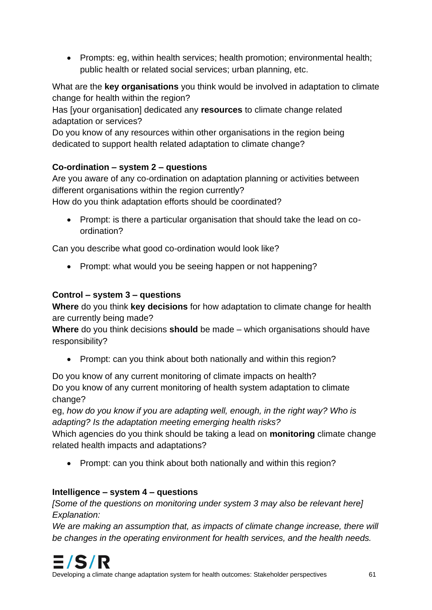• Prompts: eg, within health services; health promotion; environmental health; public health or related social services; urban planning, etc.

What are the **key organisations** you think would be involved in adaptation to climate change for health within the region?

Has [your organisation] dedicated any **resources** to climate change related adaptation or services?

Do you know of any resources within other organisations in the region being dedicated to support health related adaptation to climate change?

## **Co-ordination – system 2 – questions**

Are you aware of any co-ordination on adaptation planning or activities between different organisations within the region currently?

How do you think adaptation efforts should be coordinated?

• Prompt: is there a particular organisation that should take the lead on coordination?

Can you describe what good co-ordination would look like?

• Prompt: what would you be seeing happen or not happening?

### **Control – system 3 – questions**

**Where** do you think **key decisions** for how adaptation to climate change for health are currently being made?

**Where** do you think decisions **should** be made – which organisations should have responsibility?

• Prompt: can you think about both nationally and within this region?

Do you know of any current monitoring of climate impacts on health? Do you know of any current monitoring of health system adaptation to climate change?

eg, *how do you know if you are adapting well, enough, in the right way? Who is adapting? Is the adaptation meeting emerging health risks?*

Which agencies do you think should be taking a lead on **monitoring** climate change related health impacts and adaptations?

• Prompt: can you think about both nationally and within this region?

## **Intelligence – system 4 – questions**

*[Some of the questions on monitoring under system 3 may also be relevant here] Explanation:*

We are making an assumption that, as impacts of climate change increase, there will *be changes in the operating environment for health services, and the health needs.*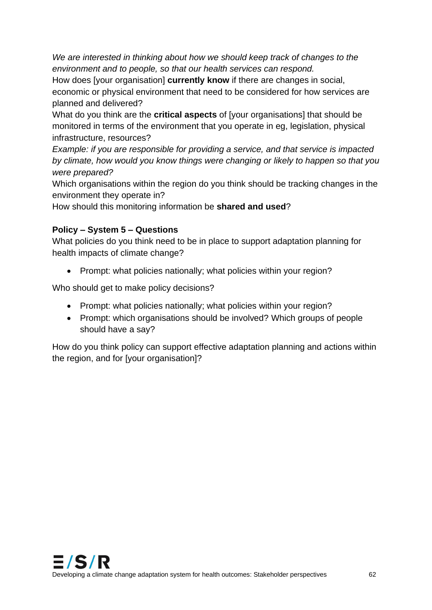*We are interested in thinking about how we should keep track of changes to the environment and to people, so that our health services can respond.*

How does [your organisation] **currently know** if there are changes in social, economic or physical environment that need to be considered for how services are planned and delivered?

What do you think are the **critical aspects** of [your organisations] that should be monitored in terms of the environment that you operate in eg, legislation, physical infrastructure, resources?

*Example: if you are responsible for providing a service, and that service is impacted by climate, how would you know things were changing or likely to happen so that you were prepared?* 

Which organisations within the region do you think should be tracking changes in the environment they operate in?

How should this monitoring information be **shared and used**?

## **Policy – System 5 – Questions**

What policies do you think need to be in place to support adaptation planning for health impacts of climate change?

• Prompt: what policies nationally; what policies within your region?

Who should get to make policy decisions?

- Prompt: what policies nationally; what policies within your region?
- Prompt: which organisations should be involved? Which groups of people should have a say?

How do you think policy can support effective adaptation planning and actions within the region, and for [your organisation]?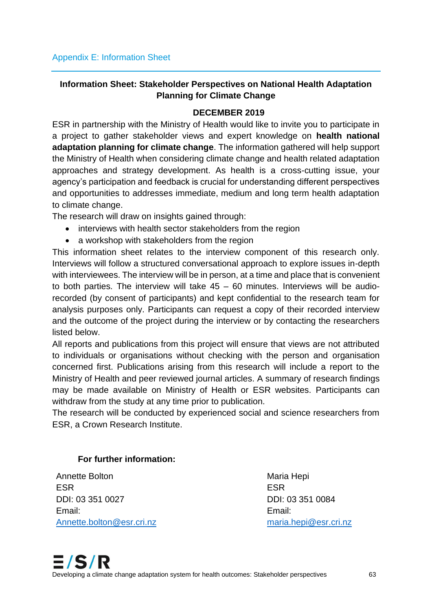## **Information Sheet: Stakeholder Perspectives on National Health Adaptation Planning for Climate Change**

#### **DECEMBER 2019**

ESR in partnership with the Ministry of Health would like to invite you to participate in a project to gather stakeholder views and expert knowledge on **health national adaptation planning for climate change**. The information gathered will help support the Ministry of Health when considering climate change and health related adaptation approaches and strategy development. As health is a cross-cutting issue, your agency's participation and feedback is crucial for understanding different perspectives and opportunities to addresses immediate, medium and long term health adaptation to climate change.

The research will draw on insights gained through:

- interviews with health sector stakeholders from the region
- a workshop with stakeholders from the region

This information sheet relates to the interview component of this research only. Interviews will follow a structured conversational approach to explore issues in-depth with interviewees. The interview will be in person, at a time and place that is convenient to both parties. The interview will take  $45 - 60$  minutes. Interviews will be audiorecorded (by consent of participants) and kept confidential to the research team for analysis purposes only. Participants can request a copy of their recorded interview and the outcome of the project during the interview or by contacting the researchers listed below.

All reports and publications from this project will ensure that views are not attributed to individuals or organisations without checking with the person and organisation concerned first. Publications arising from this research will include a report to the Ministry of Health and peer reviewed journal articles. A summary of research findings may be made available on Ministry of Health or ESR websites. Participants can withdraw from the study at any time prior to publication.

The research will be conducted by experienced social and science researchers from ESR, a Crown Research Institute.

#### **For further information:**

Annette Bolton ESR DDI: 03 351 0027 Email: [Annette.bolton@esr.cri.nz](mailto:Annette.bolton@esr.cri.nz) Maria Hepi ESR DDI: 03 351 0084 Email: [maria.hepi@esr.cri.nz](mailto:maria.hepi@esr.cri.nz)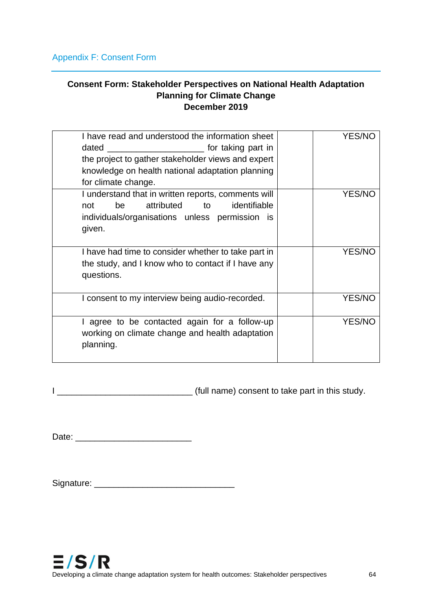#### **Consent Form: Stakeholder Perspectives on National Health Adaptation Planning for Climate Change December 2019**

| I have read and understood the information sheet<br>for taking part in<br>dated<br>the project to gather stakeholder views and expert<br>knowledge on health national adaptation planning<br>for climate change. | <b>YES/NO</b> |
|------------------------------------------------------------------------------------------------------------------------------------------------------------------------------------------------------------------|---------------|
| I understand that in written reports, comments will<br>attributed<br>identifiable<br>not<br>be<br>to<br>individuals/organisations unless permission is<br>given.                                                 | <b>YES/NC</b> |
| I have had time to consider whether to take part in<br>the study, and I know who to contact if I have any<br>questions.                                                                                          | <b>YES/NO</b> |
| I consent to my interview being audio-recorded.                                                                                                                                                                  | <b>YES/NO</b> |
| I agree to be contacted again for a follow-up<br>working on climate change and health adaptation<br>planning.                                                                                                    | YES/NO        |

I \_\_\_\_\_\_\_\_\_\_\_\_\_\_\_\_\_\_\_\_\_\_\_\_\_\_\_\_ (full name) consent to take part in this study.

Date: \_\_\_\_\_\_\_\_\_\_\_\_\_\_\_\_\_\_\_\_\_\_\_\_

Signature: \_\_\_\_\_\_\_\_\_\_\_\_\_\_\_\_\_\_\_\_\_\_\_\_\_\_\_\_\_